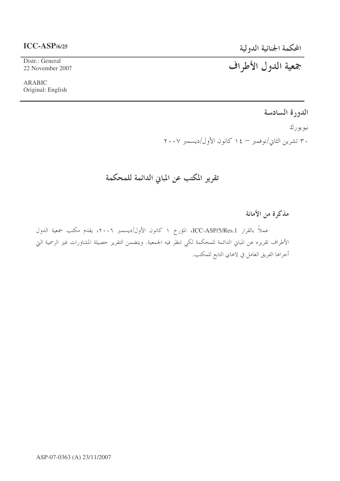# المحكمة الجنائية الدولية

# $ICC-ASP/6/25$

Distr.: General 22 November 2007

**ARABIC** Original: English

# جمعية الدول الأطراف

الدورة السادسة

نيو يو رك ۳۰ تشرین الثاني/نوفمبر — ۱٤ كانون الأول/ديسمبر ۲۰۰۷

تقرير المكتب عن المباني الدائمة للمحكمة

مذكرة من الأمانة

عملاً بالقرار ICC-ASP/5/Res.1، المؤرخ ١ كانون الأول/ديسمبر ٢٠٠٦، يقدم مكتب جمعية الدول الأطراف تقريره عن المباني الدائمة للمحكمة لكي تنظر فيه الجمعية. ويتضمن التقرير حصيلة المشاورات غير الرسمية التي أحراها الفريق العامل في لاهاي التابع للمكتب.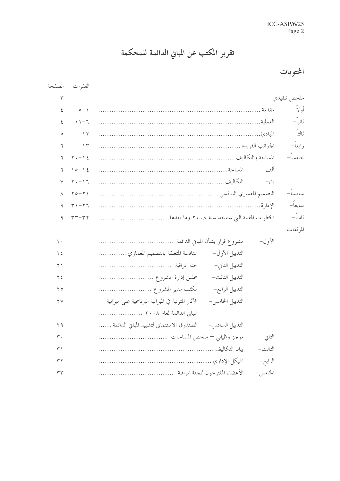تقرير المكتب عن المباني الدائمة للمحكمة

المحتويات

| الصفحة                 | الفقر ات                    |                                                                        |             |
|------------------------|-----------------------------|------------------------------------------------------------------------|-------------|
| $\mathbf{r}$           |                             |                                                                        | ملخص تنفيذي |
| ٤                      | $o - 1$                     |                                                                        | أو لأ –     |
| ٤                      | $\mathcal{V} - \mathcal{V}$ |                                                                        | ثانياً –    |
| $\circ$                | $\gamma$                    |                                                                        | ثالثاً—     |
| ٦                      | $\gamma$                    |                                                                        | ر ابعاً–    |
| ٦                      | $\gamma$ . - $\gamma$ {     |                                                                        | خامساً–     |
| ٦                      | $10 - 12$                   | ألف–                                                                   |             |
| $\vee$                 | $Y - Y$                     | باءِ-                                                                  |             |
| $\lambda$              | $Y0-Y$                      |                                                                        | سادساً–     |
| ٩                      | $T1-T7$                     |                                                                        | سابعاً–     |
| ٩                      | $\tau\tau-\tau\tau$         |                                                                        | ڻامناً–     |
|                        |                             |                                                                        | المرفقات    |
| $\backslash$ .         |                             | الأول–                                                                 |             |
| $\frac{1}{2}$          |                             | المنافسة المتعلقة بالتصميم المعماري<br>التذييل الأول–                  |             |
| $\uparrow \uparrow$    |                             | التذييل الثاني–                                                        |             |
| ۲٤                     |                             | التذييل الثالث–<br>مجلس إدارة المشروع                                  |             |
| $\zeta$                |                             | مكتب مدير المشروع<br>التذييل الرابع-                                   |             |
| $\mathsf{Y}\mathsf{V}$ |                             | التذييل الخامس-<br>الآثار المترتبة في الميزانية البرنامجية على ميزانية |             |
|                        |                             | المباين الدائمة لعام ٢٠٠٨                                              |             |
| ۲۹                     |                             | التذييل السادس- الصندوق الاستئماني لتشييد المباني الدائمة              |             |
| $\mathsf{r}\cdot$      |                             | الثاني-                                                                |             |
| ٣١                     |                             | الثالث-                                                                |             |
| ۳۲                     |                             | الرابع–                                                                |             |
| ٣٣                     |                             | الخامس –                                                               |             |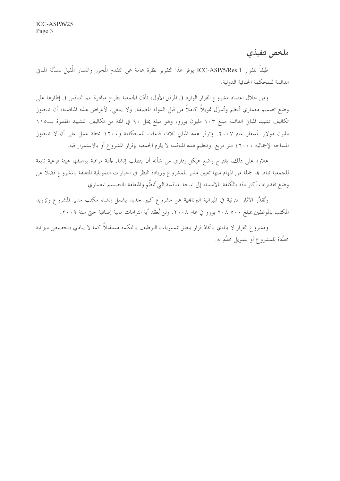ملخص تنفيذي

طبقاً للقرار ICC-ASP/5/Res.1 يوفر هذا التقرير نظرة عامة عن التقدم المُحرز والمسار المُقبل لمسألة المباني الدائمة للمحكمة الجنائية الدولية.

ومن خلال اعتماد مشروع القرار الوارد في المرفق الأول، تأذن الجمعية بطرح مبادرة يتم التنافس في إطارها على وضع تصميم معماري تُنظم وتُموَّل تمويلاً كاملاً من قبل الدولة المضيفة. ولا ينبغي، لأغراض هذه المنافسة، أن تتجاوز تكاليف تشييد المباني الدائمة مبلغ ١٠٣ مليون يورو، وهو مبلغ يمثل ٩٠ في المئة من تكاليف التشييد المقدرة بــ١١٥ مليون دولار بأسعار عام ٢٠٠٧. وتوفر هذه المباين ثلاث قاعات للمحكامة و١٢٠٠ محطة عمل على أن لا تتجاوز المساحة الإجمالية ٤٦٠٠٠ متر مربع. وتنظيم هذه المنافسة لا يلزم الجمعية بإقرار المشروع أو بالاستمرار فيه.

علاوة على ذلك، يقترح وضع هيكل إداري من شأنه أن يتطلب إنشاء لجنة مراقبة بوصفها هيئة فرعية تابعة للجمعية تناط بما جملة من المهام منها تعيين مدير للمشروع وزيادة النظر في الخيارات التمويلية المتعلقة بالمشروع فضلاً عن وضع تقديرات أكثر دقة بالكلفة بالاستناد إلى نتيجة المنافسة التي تُنظَّم والمتعلقة بالتصميم المعماري.

وتُقدَّر الآثار المترتبة في الميزانية البرنامجية عن مشروع كبير حديد يشمل إنشاء مكتب مدير المشروع وتزويد المكتب بالموظفين بمبلغ ٢٠٨ ٥٠٠ يورو في عام ٢٠٠٨. ولن تُعقَد أية التزامات مالية إضافية حتى سنة ٢٠٠٩.

ومشروع القرار لا ينادي باتخاذ قرار يتعلق بمستويات التوظيف بالمحكمة مستقبلاً كما لا ينادي بتخصيص ميزانية محدَّدَة للمشروع أو بتمويل محدَّدٍ له.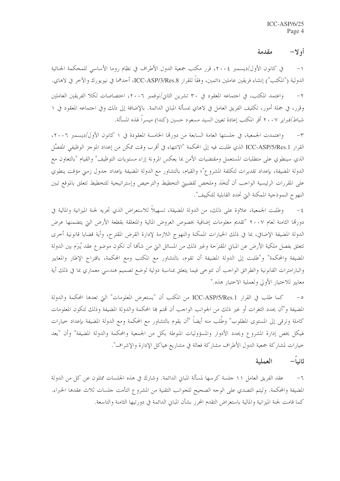#### أولا– مقدمة

في كانون الأول/ديسمبر ٢٠٠٤، قرر مكتب جمعية الدول الأطراف في نظام روما الأساسي للمحكمة الجنائية  $-1$ الدولية ("المكتب") إنشاء فريقين عاملين دائمين، وفقاً للقرار ICC-ASP/3/Res.8، أحدهما في نيويورك والآخر في لاهاي. واعتمد المكتب، في اجتماعه المعقود في ٣٠ تشرين الثاني/نوفمبر ٢٠٠٦، احتصاصات لكلا الفريقين العاملين  $-\tau$ وقرر، في جملة أمور، تكليف الفريق العامل في لاهاي بمسألة المباني الدائمة. بالإضافة إلى ذلك وفي احتماعه المعقود في ١ شباط/فبراير ٢٠٠٧ أقر المكتب إعادة تعيين السيد مسعود حسين (كندا) ميسراً لهذه المسألة.

واعتمدت الجمعية، في حلستها العامة السابعة من دورتما الخامسة المعقودة في ١ كانون الأول/ديسمبر ٢٠٠٦،  $-\tau$ القرار ICC-ASP/5/Res.1 الذي طلبت فيه إلى المحكمة "الانتهاء في أقرب وقت ممكن من إعداد الموجز الوظيفي المفصَّل الذي سينطوي على متطلبات المستعمل ومقتضيات الأمن بما يعكس المرونة إزاء مستويات التوظيف" والقيام "بالتعاون مع الدولة المضيفة، بإعداد تقديرات لتكلفة المشروع"؛ والقيام، بالتشاور مع الدولة المضيفة بإعداد حدول زمني مؤقت ينطوي على المقررات الرئيسية الواحب أن تُتخَذ وملخص لقضيتي التخطيط والترخيص وإستراتيجية للتخطيط تتعلق بالموقع تبين النهوج النموذجية الممكنة التي تحدد القابلية للتكييف".

وطلبت الجمعية، علاوة على ذلك، من الدولة المضيفة، تسهيلاً للاستعراض الذي تحريه لجنة الميزانية والمالية في  $-\xi$ دورقما الثامنة لعام ٢٠٠٧ "تقديم معلومات إضافية بخصوص العروض المالية والمتعلقة بقطعة الأرض التي يتضمنها عرض الدولة المضيفة الإضافي، بما في ذلك الخيارات الممكنة والنهوج اللازمة لإدارة القرض المقترح، وأية قضايا قانونية أحرى تتعلق بفصل ملكية الأرض عن المبايي المقترَحة وغير ذلك من المسائل التي من شأها أن تكون موضوع عقد يُبرَم بين الدولة المضيفة والمحكمة" و"طلبت إلى الدولة المضيفة أن تقوم، بالتشاور مع المكتب ومع المحكمة، باقتراح الإطار والمعايير والبارامترات القانونية والطرائق الواحب أن تتوحى فيما يتعلق بمناسبة دولية لوضع تصميم هندسي معماري بما في ذلك أية معايير للاختيار الأولى ولعملية الاختيار هذه."

كما طلب في القرار ICC-ASP/5/Res.1 من المكتب أن "يستعرض المعلومات" التي تعدها المحكمة والدولة  $-\circ$ المضيفة و"أن يحدد الثغرات أو غير ذلك من الجوانب الواحب أن تمتم ها المحكمة والدولة المضيفة وذلك لتكون المعلومات كاملة وترقى إلى المستوى المطلوب" وطُلب منه أيضاً "أن يقوم بالتشاور مع المحكمة ومع الدولة المضيفة بإعداد حيارات لهيكل يخص إدارة المشروع ويحدد الأدوار والمسؤوليات المنوطة بكل من الجمعية والمحكمة والدولة المضيفة" وأن "يعد خيارات لمشاركة جمعية الدول الأطراف مشاركة فعالة في مشاريع هياكل الإدارة والإشراف".

#### ثانياً— العملية

عقد الفريق العامل ١١ جلسة كرسها لمسألة المبايي الدائمة. وشارك في هذه الجلسات ممثلون عن كل من الدولة  $-7$ المضيفة والمحكمة. وليتم التصدي على الوحه الصحيح للجوانب التقنية من المشروع التأمت حلسات ثلاث عقدها الخبراء. كما قامت لجنة الميزانية والمالية باستعراض التقدم المحرز بشأن المباين الدائمة في دورتيها الثامنة والتاسعة.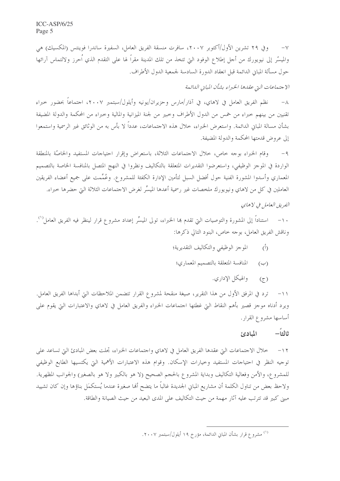$ICC-ASP/6/25$ Page 5

وفي ٢٩ تشرين الأول/أكتوبر ٢٠٠٧، سافرت منسقة الفريق العامل، السفيرة ساندرا فوينتس (المكسيك) هي  $-\vee$ والميسَّر إلى نيويورك من أجل إطلاع الوفود التيّ تتخذ من تلك المدينة مقراً لها على التقدم الذي اَحرز ولالتماس آرائها حول مسألة المباني الدائمة قبل انعقاد الدورة السادسة لجمعية الدول الأطراف.

## الاجتماعات التي عقدها الخبراء بشأن المباين الدائمة

نظم الفريق العامل في لاهاي، في آذار/مارس وحزيران/يونيه وأيلول/سبتمبر ٢٠٠٧، احتماعاً بحضور حبراء  $-\lambda$ تقنيين من بينهم حبراء من خمس من الدول الأطراف وحبير من لجنة الميزانية والمالية وحبراء من المحكمة والدولة المضيفة بشأن مسالة المباي الدائمة. واستعرض الخبراء، خلال هذه الاحتماعات، عدداً لا بأس به من الوثائق غير الرسمية واستمعوا إلى عروض قدمتها المحكمة والدولة المضيفة.

وقام الخبراء بوجه حاص، حلال الاحتماعات الثلاثة، باستعراض وإقرار احتياجات المستفيد والخاصَّة بالمنطقة  $-9$ الواردة في الموجز الوظيفي، واستعرضوا التقديرات المتعلقة بالتكاليف ونظروا في النهج المتصل بالمنافسة الخاصة بالتصميم المعماري وأسدوا المشورة الفنية حول أفضل السبل لتأمين الإدارة الكفئة للمشروع. وعُمِّمت على جميع أعضاء الفريقين العاملين في كل من لاهاي ونيويورك ملخصات غير رسمية أعدها الميسِّر لغرض الاجتماعات الثلاثة التي حضرها خبراء. الفريق العامل في لاهاي

١٠– استناداً إلى المشورة والتوصيات التي تقدم هما الخبراء، تولى الميسِّر إعداد مشروع قرار لينظر فيه الفريق العامل''. وناقش الفريق العامل، بوحه خاص، البنود التالي ذكرها:

- الموجز الوظيفي والتكاليف التقديرية؛  $(\mathring{0})$
- المنافسة المتعلقة بالتصميم المعماري؛  $(\hookrightarrow)$ 
	- والهيكل الإداري.  $(\tau)$

ترد في المرفق الأول من هذا التقرير، صيغة منقحة لمشروع القرار تتضمن الملاحظات التي أبداها الفريق العامل.  $-11$ ويرد أدناه موحز قصير بأهم النقاط التي غطتها احتماعات الخبراء والفريق العامل في لاهاي والاعتبارات التي يقوم على أساسها مشروع القرار.

#### ثالثاً— المبادئ

خلال الاجتماعات التي عقدها الفريق العامل في لاهاي واجتماعات الخبراء، تجلت بعض المبادئ التي تساعد على  $-11$ توجيه النظر في احتياحات المستفيد وحيارات الإسكان. وقوام هذه الاعتبارات الأهمية التي يكتسيها الطابع الوظيفي للمشروع، والأمن وفعالية التكاليف وبداية المشروع بالحجم الصحيح (لا هو بالكبير ولا هو بالصغير) والجوانب المظهرية. ولاحظ بعض من تناول الكلمة أن مشاريع المبايي الجديدة غالباً ما يتضح ألها صغيرة عندما يُستكمَل بناؤها وإن كان تشييد مبين كبير قد تترتب عليه آثار مهمة من حيث التكاليف على المدى البعيد من حيث الصيانة والطاقة.

<sup>&</sup>lt;sup>(۱)</sup> مشروع قرار بشأن المباني الدائمة، مؤرخ ۱۹ أيلول/سبتمبر ۲۰۰۷.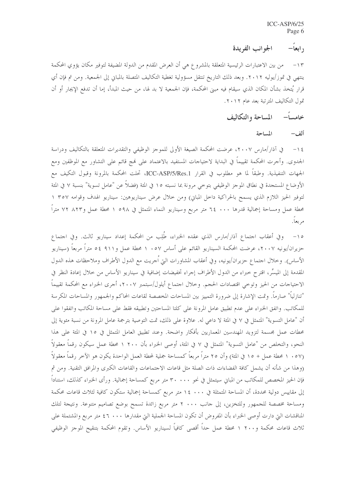### ر ابعاً— الجوانب الفريدة

من بين الاعتبارات الرئيسية المتعلقة بالمشروع هي أن العرض المقدم من الدولة المضيفة لتوفير مكان يؤوي المحكمة  $-15$ ينتهي في تموز/يوليه ٢٠١٢. وبعد ذلك التاريخ تنتقل مسؤولية تغطية التكاليف المتصلة بالمباني إلى الجمعية. ومن تم فإن أي قرارٍ يُتخذ بشأن المكان الذي سيقام فيه مبني المحكمة، فإن الجمعية لا بد لها، من حيث المبدأ، إما أن تدفع الإيجار أو أن تمول التكاليف المترتبة بعد عام ٢٠١٢.

> المساحة والتكاليف خامسا–

> > المساحة ألف–

في آذار/مارس ٢٠٠٧، عرضت المحكمة الصيغة الأولى للموجز الوظيفي والتقديرات المتعلقة بالتكاليف ودراسة  $-15$ الجدوى. وأجرت المحكمة تقييماً في البداية لاحتياجات المستفيد بالاعتماد على فمج قائم على التشاور مع الموظفين ومع الجهات التنفيذية. وطبقاً لما هو مطلوب في القرار ICC-ASP/5/Res.1، تحلت المحكمة بالمرونة وقبول التكيف مع الأوضاع المستجدة في نطاق الموجز الوظيفي بتوحي مرونة بما نسبته ١٥ في المئة (فضلاً عن "عامل تسوية" بنسبة ٧ في المئة لتوفير الحيز اللازم الذي يسمح بالحراكية داخل المباين) ومن خلال عرض سيناريوهين: سيناريو الهدف وقوامه ٣٥٧ ١ محطة عمل ومساحة إجمالية قدرها ٠٠٠ ٢٤ متر مربع وسيناريو النماء المتمثل في ٥٩٨ ١ محطة عمل و٨٢٣ ٧٢ متراً مربعاً.

١٥– وفي أعقاب احتماع آذار/مارس الذي عقده الخبراء، طُلِب من المحكمة إعداد سيناريو ثالث. وفي احتماع حزيران/يونيه ٢٠٠٧، عرضت المحكمة السيناريو القائم على أساس ٥٧ . ١ محطة عمل و٩١١ ٥٤ متراً مربعاً (سيناريو الأساس). وخلال اجتماع حزيران/يونيه، وفي أعقاب المشاورات التي اُجريت مع الدول الأطراف وملاحظات هذه الدول المقدمة إلى الميسِّر، اقترح حبراء من الدول الأطراف إجراء تخفيضات إضافية في سيناريو الأساس من حلال إعادة النظر في الاحتياجات من الحيز وتوحى اقتصادات الحجم. وخلال اجتماع أيلول/سبتمبر ٢٠٠٧، أجرى الخبراء مع المحكمة تقييماً "تنازلياً" صارماً. وتمت الإشارة إلى ضرورة التمييز بين المساحات المخصصة لقاعات المحاكم والجمهور والمساحات المكرسة للمكاتب. واتفق الخبراء على عدم تطبيق عامل المرونة على كلتا المساحتين وتطبيقه فقط على مساحة المكاتب واتفقوا على أن "عامل التسوية" المتمثل في ٧ في المئة لا داعي له. علاوة على ذلك، تمت التوصية بترجمة عامل المرونة من نسبة مئوية إلى محطات عمل مجسمة لتزويد المهندسين المعماريين بأفكار واضحة. وعند تطبيق العامل المتمثل في ١٥ في المئة على هذا النحو، والتخلص من "عامل التسوية" المتمثل في ٧ في المئة، أوصى الخبراء بأن ٢٠٠ ١ محطة عمل سيكون رقماً معقولاً (٥٧ . ١ محطة عمل + ١٥ في المئة) وأن ٢٥ متراً مربعاً كمساحة جملية لمحطة العمل الواحدة يكون هو الآخر رقماً معقولاً (وهذا من شأنه أن يشمل كافة الفضاءات ذات الصلة مثل قاعات الاجتماعات والقاعات الكبرى والمرافق التقنية. ومن ثم فإن الحيز المخصص للمكاتب من المباني سيتمثل في نحو ٣٠٠٠٠ متر مربع كمساحة إجمالية. ورأى الخبراء كذلك، استناداً إلى مقاييس دولية محددة، أن المساحة المتمثلة في ١٤ ٠٠٠ متر مربع كمساحة إجمالية ستكون كافية لثلاث قاعات محكمة ومساحة مخصصة للجمهور وللتخزين، إلى جانب ٢٠٠٠ متر مربع زائدة تسمح بوضع تصاميم متنوعة. ونتيجة لتلك المناقشات التي دارت أوصى الخبراء بأن المفروض أن تكون المساحة الجملية التي مقدارها ٤٦ .٠٠ كمتر مربع والمشتملة على ثلاث قاعات محكمة و٢٠٠ ١ محطة عمل حداً أقصى كافياً لسيناريو الأساس. وتقوم المحكمة بتنقيح الموجز الوظيفي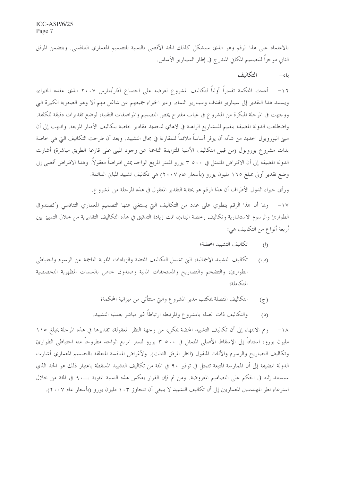بالاعتماد على هذا الرقم وهو الذي سيشكل كذلك الحد الأقصى بالنسبة للتصميم المعماري التنافسي. ويتضمن المرفق الثاني موجزاً للتصميم المكاني المندرج في إطار السيناريو الأساس.

#### التكالف باء–

١٦– أعدت المحكمة تقديراً أولياً لتكاليف المشروع لعرضه على اجتماع آذار/مارس ٢٠٠٧ الذي عقده الخبراء، ويستند هذا التقدير إلى سيناريو الهدف وسيناريو النماء. وعبر الخبراء جميعهم عن شاغل مهم ألا وهو الصعوبة الكبيرة التي ووجهت في المرحلة المبكرة من المشروع في غياب مقترح يخص التصميم والمواصفات التقنية، لوضع تقديرات دقيقة للكلفة. واضطلعت الدولة المضيفة بتقييم للمشاريع الراهنة في لاهاي لتحديد مقادير خاصة بتكاليف الأمتار المربعة. وانتهت إلى أن مبين اليوروبول الجديد من شأنه أن يوفر أساساً ملائماً للمقارنة في مجال التشييد. وبعد أن طرحت التكاليف التي هي خاصة بذات مشروع يوروبول (من قبيل التكاليف الأمنية المتزايدة الناجمة عن وجود المبني على قارعة الطريق مباشرة) أشارت الدولة المضيفة إلى أن الافتراض المتمثل في ٢٥٠٠ يورو للمتر المربع الواحد يمثل افتراضاً معقولاً. وهذا الافتراض أفضى إلى وضع تقدير أولى بمبلغ ١٦٥ مليون يورو (بأسعار عام ٢٠٠٧) هي تكاليف تشييد المباين الدائمة.

ورأى خبراء الدول الأطراف أن هذا الرقم هو بمثابة التقدير المعقول في هذه المرحلة من المشروع.

١٧– وبما أن هذا الرقم ينطوي على عدد من التكاليف التي يستغنى عنها التصميم المعماري التنافسي (كصندوق الطوارئ والرسوم الاستشارية وتكاليف رخصة البناء)، تمت زيادة التدقيق في هذه التكاليف التقديرية من حلال التمييز بين أربعة أنواع من التكاليف هي:

- تكاليف التشييد المحضة؛  $\langle \rangle$
- تكاليف التشييد الإجمالية، التي تشمل التكاليف المحضة والزيادات المثوية الناجمة عن الرسوم واحتياطي  $(\hookrightarrow)$ الطوارئ، والتضخم والتصاريح والمستحقات المالية وصندوق حاص بالسمات المظهرية التخصصية المتكاملة؛
	- التكاليف المتصلة بمكتب مدير المشروع والتي ستتأتى من ميزانية المحكمة؛  $(5)$
	- والتكاليف ذات الصلة بالمشروع والمرتبطة ارتباطاً غير مباشر بعملية التشييد.  $(2)$

وتم الانتهاء إلى أن تكاليف التشييد المحضة يمكن، من وجهة النظر المعقولة، تقديرها في هذه المرحلة بمبلغ ١١٥  $-1\Lambda$ مليون يورو، استناداً إلى الإسقاط الأصلي المتمثل في ٢٥٠٠ يورو للمتر المربع الواحد مطروحاً منه احتياطي الطوارئ وتكاليف التصاريح والرسوم والأثاث المنقول (انظر المرفق الثالث). ولأغراض المنافسة المتعلقة بالتصميم المعماري أشارت الدولة المضيفة إلى أن الممارسة المتبعة تتمثل في توفير ٩٠ في المئة من تكاليف التشييد المسقطة باعتبار ذلك هو الحد الذي سيستند إليه في الحكم على التصاميم المعروضة. ومن ثم فإن القرار يعكس هذه النسبة المثوية بـــــ.٩٠ في المثة من خلال استرعاء نظر المهندسين المعماريين إلى أن تكاليف التشييد لا ينبغي أن تتجاوز ١٠٣ مليون يورو (بأسعار عام ٢٠٠٧).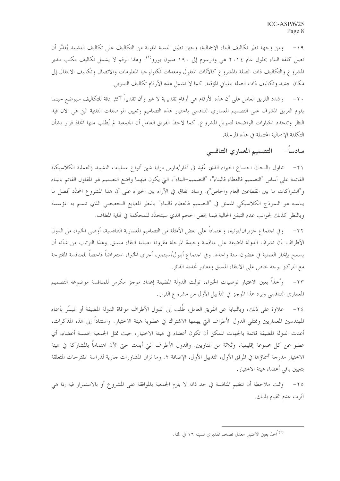ومن وجهة نظر تكاليف البناء الإجمالية، وحين تطبق النسبة المئوية من التكاليف على تكاليف التشييد يُقدَّر أن  $-19$ تصل كلفة البناء بحلول عام ٢٠١٤ هي والرسوم إلى ١٩٠ مليون يورو<sup>٢٧</sup>. وهذا الرقم لا يشمل تكاليف مكتب مدير المشروع والتكاليف ذات الصلة بالمشروع كالأثاث المنقول ومعدات تكنولوجيا المعلومات والاتصال وتكاليف الانتقال إلى مكان حديد وتكاليف ذات الصلة بالمباني المؤقتة. كما لا تشمل هذه الأرقام تكاليف التمويل.

٢٠– وشدد الفريق العامل على أن هذه الأرقام هي أرقام تقديرية لا غير وأن تقديراً أكثر دقة للتكاليف سيوضع حينما يقوم الفريق المشرف على التصميم المعماري التنافسي باختيار هذه التصاميم وتعيين المواصفات التقنية التي هي الآن قيد النظر وتتحدد الخيارات الواضحة لتمويل المشروع. كما لاحظ الفريق العامل أن الجمعية لم يُطلب منها اتخاذ قرار بشأن التكلفة الإجمالية المحتملة في هذه المرحلة.

# سادساً– التصميم المعماري التنافسي

٢١– تناول بالبحث اجتماع الخبراء الذي عُقِد في آذار /مارس مزايا شتى أنواع عمليات التشييد (العملية الكلاسيكية القائمة على أساس "التصميم فالعطاء فالبناء"، "التصميم–البناء"، التي يكون فيهما واضع التصميم هو المقاول القائم بالبناء و"الشراكات ما بين القطاعين العام والخاص"). وساد اتفاق في الآراء بين الخبراء على أن هذا المشروع المحدَّد أفضل ما يناسبه هو النموذج الكلاسيكي المتمثل في "التصميم فالعطاء فالبناء" بالنظر للطابع التخصصي الذي تتسم به المؤسسة وبالنظر كذلك لجوانب عدم التيقن الحالية فيما يخص الحجم الذي سيتحدَّد للمحكمة في نماية المطاف.

٢٢– وفي احتماع حزيران/يونيه، واعتماداً على بعض الأمثلة من التصاميم المعمارية التنافسية، أوصى الخبراء من الدول الأطراف بأن تشرف الدولة المضيفة على منافسة وحيدة المرحلة مقرونة بعملية انتقاء مسبق. وهذا الترتيب من شأنه أن يسمح بإنجاز العملية في غضون سنة واحدة. وفي احتماع أيلول/سبتمبر، أحرى الخبراء استعراضاً فاحصاً للمنافسة المقترحة مع التركيز بوحه خاص على الانتقاء المسبق ومعايير تحديد الفائز.

٢٣– وأخذا بعين الاعتبار توصيات الخبراء، تولت الدولة المضيفة إعداد موجز مكرس للمنافسة موضوعه التصميم المعماري التنافسي ويرد هذا الموجز في التذييل الأول من مشروع القرار.

علاوة على ذلك، وبالنيابة عن الفريق العامل، طُلب إلى الدول الأطراف موافاة الدولة المضيفة أو الميسِّر بأسماء  $-\tau$  { المهندسين المعماريين وممثلي الدول الأطراف التي يهمها الاشتراك في عضوية هيئة الاختيار . واستناداً إلى هذه المذكرات، أعدت الدولة المضيفة قائمة بالجهات الممكن أن تكون أعضاء في هيئة الاختيار، حيث تمثل الجمعية بخمسة أعضاء، أي عضو عن كل مجموعة إقليمية، وثلاثة من المناوبين. والدول الأطراف التي أبدت حتى الآن اهتماماً بالمشاركة في هيئة الاختيار مدرجة أسماؤها في المرفق الأول، التذييل الأول، الإضافة ٢. وما تزال المشاورات جارية لدراسة المقترحات المتعلقة بتعيين باقى أعضاء هيئة الاختيار.

٢٥– وتمت ملاحظة أن تنظيم المنافسة في حد ذاته لا يلزم الجمعية بالموافقة على المشروع أو بالاستمرار فيه إذا هي آثرت عدم القيام بذلك.

<sup>&</sup>lt;sup>(٢)</sup> اُحذ بعين الاعتبار معدل تضخم تقديري نسبته ١٦ في المئة.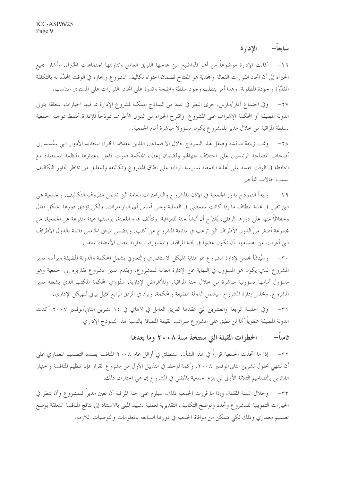### سابعاً الإدارة

٢٦– كانت الإدارة موضوعاً من أهم المواضيع التي عالجها الفريق العامل وتناولتها احتماعات الخبراء. وأشار جميع الخبراء إلى أن اتخاذ القرارات الفعالة والمحدية هو المفتاح لضمان احتواء تكاليف المشروع وإنجازه في الوقت المحدَّد له بالتكلفة المقدَّرَة والجودة المطلوبة. وهذا أمر يتطلب وحود سلطة واضحة وقدرة على اتخاذ القرارات على المستوى المناسب.

وفي احتماع آذار/مارس، حرى النظر في عدد من النماذج الممكنة لمشروع الإدارة بما فيها الخيارات المتعلقة بتولى  $-\tau v$ الدولة المضيفة أو المحكمة الإشراف على المشروع. واقترح الخبراء من الدول الأطراف نموذجاً للإدارة تحتفظ بموجبه الجمعية بسلطة المراقبة من خلال مدير للمشروع يكون مسؤولاً مباشرة أمام الجمعية.

وتمت زيادة مناقشة وصقل هذا النموذج حلال الاحتماعين اللذين عقدهما الخبراء لتحديد الأدوار التي ستُسند إلى  $-\tau \wedge$ أصحاب المصلحة الرئيسيين على احتلاف جهاقمم ولضمان إعطاء المحكمة صوت فاعل باعتبارها المنظمة المستفيدة مع المحافظة في الوقت نفسه على أهلية الجمعية لممارسة الرقابة على نطاق المشروع وتكاليفه وللتقليل من مخاطر تجاوز التكاليف بسب حالات التأخير .

٢٩– ويبدأ النموذج بدور الجمعية في الإذن بالمشروع والبارامترات العامة التي تشمل مظروف التكاليف. والجمعية هي التي تقرر في نماية المطاف ما إذا كانت ستمضى في العملية وعلى أساس أي البارامترات. ولكي تؤدي دورها بشكل فعال وحفاظاً منها على دورها الرقابي، يُقترَح أن تُنشأ لجنة للمراقبة. وتتألف هذه اللجنة، بوصفها هيئة متفرعة عن الجمعية، من محموعة أصغر من الدول الأطراف التي ترغب في متابعة المشروع عن كثب. ويتضمن المرفق الخامس قائمة بالدول الأطراف التي أعربت عن اهتمامها بأن تكون عضواً في لجنة المراقبة. والمشاورات حارية لتعيين الأعضاء المتبقين.

٣٠– وسيُنشَأ مجلس لإدارة المشروع هو بمثابة الهيكل الاستشاري والتعاوني يشمل المحكمة والدولة المضيفة ويرأسه مدير المشروع الذي يكون هو المسؤول في النهاية عن الإدارة العامة للمشروع. ويقدم مدير المشروع تقاريره إلى الجمعية وهو مسؤول أمامها مسؤولية مباشرة من خلال لجنة المراقبة. وللأغراض الإدارية، ستُؤوي المحكمة المكتب الذي يشغله مدير المشروع. ومجلس إدارة المشروع سيشمل الدولة المضيفة والمحكمة. ويرد في المرفق الرابع تمثيل بياني للهيكل الإداري.

٣١– وفي الجلسة الرابعة والعشرين التي عقدها الفريق العامل في لاهاي في ١٤ تشرين الثاني/نوفمبر ٢٠٠٧ أكدت الدولة المضيفة شفوياً ألها لن تطبق على المشرو ع ضرائب القيمة المضافة بالنسبة لهذا النموذج الإداري.

### الخطوات المقبلة التي ستتخذ سنة ٢٠٠٨ وما بعدها ثامنا—

إذا ما اتخذت الجمعية قراراً في هذا الشأن، ستنطلق في أوائل عام ٢٠٠٨ المنافسة بصدد التصميم المعماري على  $-\tau \tau$ أن تنتهي بحلول تشرين الثاني/نوفمبر ٢٠٠٨. وكما لوحظ في التذييل الأول من مشروع القرار فإن تنظيم المنافسة واحتيار الفائزين بالتصاميم الثلاثة الأولى لن يلزم الجمعية بالمضى في المشروع إن هي اختارت ذلك.

وخلال السنة المقبلة، وإذا ما قررت الجمعية ذلك، سيلزم على لجنة المراقبة أن تعين مديراً للمشروع وأن تنظر في  $-\tau\tau$ الخيارات التمويلية للمشروع وتحدد وتوضح التكاليف التقديرية لعملية تشييد المبنى بالاستناد إلى نتائج المنافسة المتعلقة بوضع تصميم معماري وذلك لكي تتمكَّن من موافاة الجمعية في دورتما السابعة بالمعلومات والتوصيات اللازمة.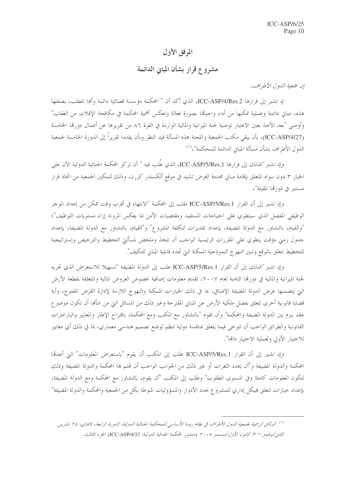# المرفق الأول

# مشروع قرار بشأن المبايي الدائمة

إن جمعية اللهول الأطراف،

/ذ تشير إلى قرارها ICC-ASP/4/Res.2، الذي أكد أن " المحكمة مؤسسة قضائية دائمة وألها تتطلب، بصفتها هذه، مباني دائمة وعملية تمكنها من أداء واجبالها بصورة فعالة وتعكس أهمية المحكمة في مكافحة الإفلات من العقاب" وأوصى "بعد الأخذ بعين الاعتبار توصية لجنة الميزانية والمالية الواردة في القرة ٨٦ من تقريرها عن أعمال دورقما الخامسة (ICC-ASP/4/27)، بأن يبقى مكتب الجمعية واللجنة هذه المسألة قيد النظر وبأن يقدما تقريراً إلى الدورة الخامسة لجمعية الدول الأطراف بشأن مسألة المبان الدائمة للمحكمة"، <sup>(١)</sup>

و*إذ تشير كذلك* إلى قرارها ICC-ASP/5/Res.1، الذي طُلب فيه " أن تركز المحكمة الجنائية الدولية الآن على الخيار ٣ دون سواه المتعلق بإقامة مبايي محددة الغرض تشيد في موقع ألكسندر كزرن، وذلك لتمكين الجمعية من اتخاذ قرار مستنير في دورتما المقبلة"،

وإذ تشير إلى أن القرار ICC-ASP/5/Res.1 طلب إلى المحكمة "الانتهاء في أقرب وقت ممكن من إعداد الموجز الوظيفي المفصل الذي سينطوي على احتياجات المستفيد ومقتضيات الأمن بما يعكس المرونة إزاء مستويات التوظيف"؛ "والقيام، بالتشاور مع الدولة المضيفة، بإعداد تقديرات لتكلفة المشروع" و"القيام، بالتشاور مع الدولة المضيفة، بإعداد حدول زمني مؤقت ينطوي على المقررات الرئيسية الواحب أن تتخذ وملخص لمسألتي التخطيط والترخيص وإستراتيجية للتخطيط تتعلق بالموقع وتبين النهوج النموذجية الممكنة التي تحدد قابلية المباني للتكيف".

وإذ تشير كنا*لك* إلى أن القرار ICC-ASP/5/Res.1 طلب إلى الدولة المضيفة "تسهيلا للاستعراض الذي تجريه لجنة الميزانية والمالية في دورتما الثامنة لعام ٢٠٠٧، تقديم معلومات إضافية بخصوص العروض المالية والمتعلقة بقطعة الأرض الَّتِي يتضمنها عرض الدولة المضيفة الإضافي، بما في ذلك الخيارات الممكنة والنهوج اللازمة لإدارة القرض المفتوح، وأية قضايا قانونية أخرى تتعلق بفصل ملكية الأرض عن المبايي المقترحة وغير ذلك من المسائل التي من شألها أن تكون موضوع عقد يبرم بين الدولة المضيفة والمحكمة" وأن تقوم "بالتشاور مع المكتب ومع المحكمة، باقتراح الإطار والمعايير والبارامترات القانونية والطرائق الواحب أن تتوحى فيما يتعلق بمنافسة دولية تنظم لوضع تصميم هندسي معماري، بما في ذلك أي معايير للاختيار الأولى ولعملية الاختيار ذاتها".

وإِذِ تشيرٍ إلى أن القرارِ ICC-ASP/5/Res.1 طلب إلى المكتب أن يقوم "باستعراض المعلومات" التي أعدها المحكمة والدولة المضيفة و"أن يحدد الثغرات أو غير ذلك من الجوانب الواحب أن تمتم ها المحكمة والدولة المضيفة وذلك لتكون المعلومات كاملة وفي المستوى المطلوب" وطلب إلى المكتب "أن يقوم، بالتشاور مع المحكمة ومع الدولة المضيفة، بإعداد خيارات تتعلق هيكل إداري للمشروع يحدد الأدوار والمسؤوليات المنوطة بكل من الجمعية والمحكمة والدولة المضيفة"

<sup>&</sup>lt;sup>(١)</sup> الوثائق الرسمية لجمعية الدول الأطراف في نظام روما الأساسي للمحكمة الجنائية الدولية، الدورة الرابعة، لاهاي، ٢٨ تشرين *الثانى/نوفمبر – ٣ كانون الأول/ديسمبر ٢٠٠٥* (منشور المحكمة الجنائية الدولية، ICC-ASP/4/32) الجزء الثالث.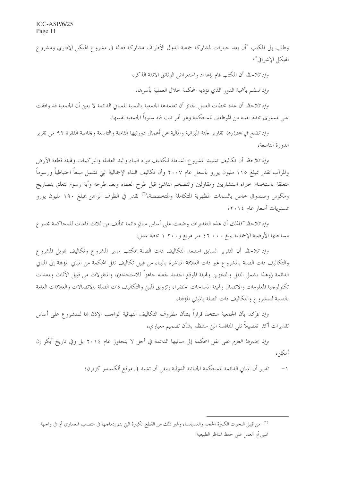وطلب إلى المكتب "أن يعد خيارات لمشاركة جمعية الدول الأطراف مشاركة فعالة في مشروع الهيكل الإداري ومشروع الهيكل الاشرافي"؛

*وإذ تلاحظ* أن المكتب قام بإعداد واستعراض الوثائق الآنفة الذكر،

*وإذ تسل*م بأهمية الدور الذي تؤديه المحكمة خلال العملية بأسرها،

وإِذِ تلاحظ أن عدد محطات العمل الجائز أن تعتمدها الجمعية بالنسبة للمباني الدائمة لا يعني أن الجمعية قد وافقت على مستوى محدد بعينه من الموظفين للمحكمة وهو أمر تبت فيه سنوياً الجمعية نفسها،

*وإذ تضع في اعتبارها* تقارير لجنة الميزانية والمالية عن أعمال دورتيها الثامنة والتاسعة وبخاصة الفقرة ٩٢ من تقرير الدورة التاسعة،

*وإذ تلاحظ* أن تكاليف تشييد المشروع الشاملة لتكاليف مواد البناء واليد العاملة والتركيبات وقميئة قطعة الأرض والمرآب تقدر بمبلغ ١١٥ مليون يورو بأسعار عام ٢٠٠٧ وأن تكاليف البناء الإجمالية التي تشمل مبلغاً احتياطياً ورسوماً متعلقة باستخدام حبراء استشاريين ومقاولين والتضخم الناشئ قبل طرح العطاء وبعد طرحه وأية رسوم تتعلق بتصاريح ومكوس وصندوق حاص بالسمات المظهرية المتكاملة والمتخصصة،'<sup>٢)</sup> تقدر في الظرف الراهن بمبلغ ١٩٠ مليون يورو بمستويات أسعار عام ١٤.٢٠)

*وإذ تلاحظ كذلك* أن هذه التقديرات وضعت على أساس مبانٍ دائمة تتألف من ثلاث قاعات للمحاكمة مجموع مساحتها الأرضية الإجمالية يبلغ ٤٦ . • ٤٦ متر مربع و٢٠٠ ١ محطة عمل،

*وإذ تلاحظ* أن التقرير السابق استبعد التكاليف ذات الصلة بمكتب مدير المشروع وتكاليف تمويل المشروع والتكاليف ذات الصلة بالمشروع غير ذات العلاقة المباشرة بالبناء من قبيل تكاليف نقل المحكمة من المباني المؤقتة إلى المباين الدائمة (وهذا يشمل النقل والتخزين وقميئة الموقع الجديد لجعله جاهزاً للاستخدام)، والمنقولات من قبيل الأثاث ومعدات تكنولوجيا المعلومات والاتصال وقميئة المساحات الخضراء وتزويق المبني والتكاليف ذات الصلة بالاتصالات والعلاقات العامة بالنسبة للمشروع والتكاليف ذات الصلة بالمباني المؤقتة،

و*إذ تؤكد* بأن الجمعية ستتخذ قراراً بشأن مظروف التكاليف النهائية الواحب الإذن بما للمشروع على أساس تقديرات أكثر تفصيلاً تلى المنافسة التي ستنظم بشأن تصميم معياري،

و*إذ يحدوها العزم* على نقل المحكمة إلى مبانيها الدائمة في أحل لا يتجاوز عام ٢٠١٤ بل وفي تاريخ أبكر إن أمكن،

> تقرر أن المبايي الدائمة للمحكمة الجنائية الدولية ينبغي أن تشيد في موقع ألكسندر كزيرن؛  $-1$

<sup>&</sup>lt;sup>(٢)</sup> من قبيل النحوت الكبيرة الحجم والفسيفساء وغير ذلك من القطع الكبيرة التي يتم إدماجها في التصميم المعماري أو في واجهة المبين أو العمل على حفظ المناظر الطبيعية.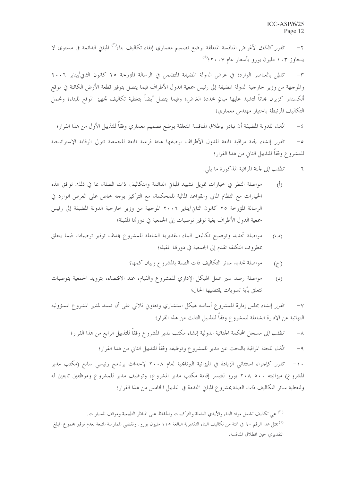ت*قرر كنالك* لأغراض المنافسة المتعلقة بوضع تصميم معماري إبقاء تكاليف بناء<sup>(٣)</sup> المباين الدائمة في مستوى لا  $-\tau$ یتجاوز ۱۰۳ ملیون یورو بأسعار عام ۲۰۰۷؛<sup>(٤)</sup>

تقبل بالعناصر الواردة في عرض الدولة المضيفة المتضمن في الرسالة المؤرخة ٢٥ كانون الثاني/يناير ٢٠٠٦  $-\tau$ والموجهة من وزير حارجية الدولة المضيفة إلى رئيس جمعية الدول الأطراف فيما يتصل بتوفير قطعة الأرض الكائنة في موقع ألكسندر كزيرن مجاناً لتشيد عليها مبانٍ محددة الغرض؛ وفيما يتصل أيضاً بتغطية تكاليف تجهيز الموقع للبناء؛ وتحمل التكاليف المرتبطة باختيار مهندس معماري؛

ت*أذن* للدولة المضيفة أن تبادر بإطلاق المنافسة المتعلقة بوضع تصميم معماري وفقاً للتذييل الأول من هذا القرار؛  $-\xi$ تقرر إنشاء لجنة مراقبة تابعة للدول الأطراف بوصفها هيئة فرعية تابعة للجمعية تتولى الرقابة الإستراتيجية  $\sim$ للمشروع وفقاً للتذييل الثاني من هذا القرار؛

- *تطلب إلى* لجنة المراقبة المذكورة ما يل<u>ي</u>:  $-7$
- مواصلة النظر في حيارات تمويل تشييد المبايي الدائمة والتكاليف ذات الصلة، بما في ذلك توافق هذه  $\langle \hat{L} \rangle$ الخيارات مع النظام المالي والقواعد المالية للمحكمة، مع التركيز بوجه حاص على العرض الوارد في الرسالة المؤرخة ٢٥ كانون الثاني/يناير ٢٠٠٦ الموجهة من وزير خارجية الدولة المضيفة إلى رئيس جمعية الدول الأطراف بغية توفير توصيات إلى الجمعية في دورتما المقبلة؛
- مواصلة تحديد وتوضيح تكاليف البناء التقديرية الشاملة للمشروع بمدف توفير توصيات فيما يتعلق  $(\hookrightarrow)$ بمظروف التكلفة تقدم إلى الجمعية في دورتما المقبلة؛
	- مواصلة تحديد سائر التكاليف ذات الصلة بالمشروع وبيان كمها؛  $(\tau)$
- مواصلة رصد سير عمل الهيكل الإداري للمشروع والقيام، عند الاقتضاء، بتزويد الجمعية بتوصيات  $(2)$ تتعلق بأية تسويات يقتضيها الحال؛

تقرر إنشاء مجلس إدارة للمشروع أساسه هيكل استشاري وتعاوين ثلاثى على أن تسند لمدير المشروع المسؤولية  $-\vee$ النهائية عن الإدارة الشاملة للمشروع وفقاً للتذييل الثالث من هذا القرار؛

*تطلب إلى* مسجل المحكمة الجنائية الدولية إنشاء مكتب لمدير المشروع وفقاً للتذييل الرابع من هذا القرار؛  $-\Lambda$ 

> تَأْفِنَ للجنة المراقبة بالبحث عن مدير للمشروع وتوظيفه وفقاً للتذييل الثاني من هذا القرار؛  $-9$

تقرر كإجراء استثنائي الزيادة في الميزانية البرنامجية لعام ٢٠٠٨ لإحداث برنامج رئيسي سابع (مكتب مدير  $-1$ المشروع) ميزانيته ٢٠٨ ٥٠٠ يورو لتتيسر إقامة مكتب مدير المشروع، وتوظيف مدير للمشروع وموظفين تابعين له ولتغطية سائر التكاليف ذات الصلة بمشروع المباني المحددة في التذييل الخامس من هذا القرار؛

<sup>&</sup>lt;sup>(٣)</sup> هي تكاليف تشمل مواد البناء والأيدي العاملة والتركيبات والحفاظ على المناظر الطبيعية وموقف للسيارات. <sup>(٤)</sup> يمثل هذا الرقم ٩٠ في المئة من تكاليف البناء التقديرية البالغة ١١٥ مليون يورو. وتقضى الممارسة المتبعة بعدم توفير مجموع المبلغ التقديري حين انطلاق المنافسة.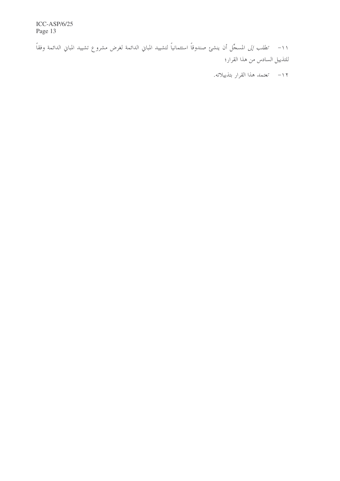ICC-ASP/6/25 Page 13

١١- ت*طلب إلى* المسجِّل أن ينشئ صندوقاً استئمانياً لتشييد المباني الدائمة لغرض مشروع تشييد المباني الدائمة وفقاً للتذييل السادس من هذا القرار؛

۱۲– تعتم*د هذا القرار بتذييلاته.*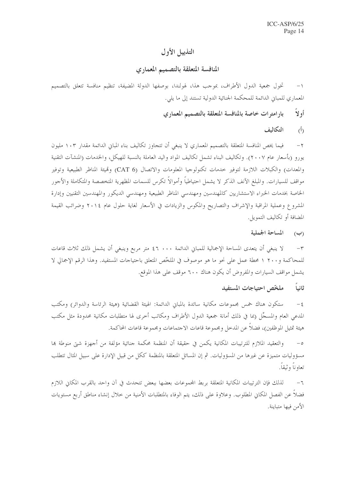# التذييل الأول

### المنافسة المتعلقة بالتصميم المعماري

تخول جمعية الدول الأطراف، بموجب هذا، لهولندا، بوصفها الدولة المضيفة، تنظيم منافسة تتعلق بالتصميم  $-1$ المعماري للمباني الدائمة للمحكمة الجنائية الدولية تستند إلى ما يلي.

> أولاً بارامترات خاصة بالمنافسة المتعلقة بالتصميم المعماري

> > التكالف  $\langle \dot{b} \rangle$

فيما يخص المنافسة المتعلقة بالتصميم المعماري لا ينبغي أن تتجاوز تكاليف بناء المباني الدائمة مقدار ١٠٣ مليون  $-\tau$ يورو (بأسعار عام ٢٠٠٧). وتكاليف البناء تشمل تكاليف المواد واليد العاملة بالنسبة للهيكل، والخدمات (المنشآت التقنية والمعدات) والكبلات اللازمة لتوفير حدمات تكنولوجيا المعلومات والاتصال (CAT 6) وقميئة المناظر الطبيعية وتوفير مواقف للسيارات. والمبلغ الآنف الذكر لا يشمل احتياطياً وأموالاً تكرس للسمات المظهرية المتخصصة والمتكاملة والأجور الخاصة بخدمات الخبراء الاستشاريين كالمهندسين ومهندسي المناظر الطبيعية ومهندسي الديكور والمهندسين التقنيين وإدارة المشروع وعملية المراقبة والإشراف والتصاريح والمكوس والزيادات في الأسعار لغاية حلول عام ٢٠١٤ وضرائب القيمة المضافة أو تكاليف التمويل.

> المساحة الجملية  $(\hookrightarrow)$

لا ينبغي أن يتعدى المساحة الإجمالية للمباني الدائمة ٤٦ .٠٠ كم متر مربع وينبغي أن يشمل ذلك ثلاث قاعات  $-\tau$ للمحاكمة و٢٠٠ ١ محطة عمل على نحوٍ ما هو موصوف في الملخَّص المتعلق باحتياجات المستفيد. وهذا الرقم الإجمالي لا يشمل مواقف السيارات والمفروض أن يكون هناك ٦٠٠ موقف على هذا الموقع.

#### ثانياً ملخص احتياجات المستفيد

ستكون هناك خمس مجموعات مكانية سائدة بالمباين الدائمة: الهيئة القضائية (هيئة الرئاسة والدوائر) ومكتب  $-\xi$ المدعى العام والمسجَّل (بما في ذلك أمانة جمعية الدول الأطراف ومكاتب أخرى لها متطلبات مكانية محدودة مثل مكتب هيئة تمثيل الموظفين)، فضلاً عن المدحل ومجموعة قاعات الاجتماعات ومجموعة قاعات المحاكمة.

والتعقيد الملازم للترتيبات المكانية يكمن في حقيقة أن المنظمة محكمة جنائية مؤلفة من أجهزة شيت منوطة بما  $-\circ$ مسؤوليات متميزة عن غيرها من المسؤوليات. ثم إن المسائل المتعلقة بالمنظمة ككل من قبيل الإدارة على سبيل المثال تتطلب تعاوناً وثبقاً.

لذلك فإن الترتيبات المكانية المتعلقة بربط المحموعات بعضها ببعض تتحدث في آن واحد بالقرب المكاني اللازم  $-7$ فضلا عن الفصل المكاني المطلوب. وعلاوة على ذلك، يتم الوفاء بالمتطلبات الأمنية من حلال إنشاء مناطق أربع مستويات الأمن فيها متباينة.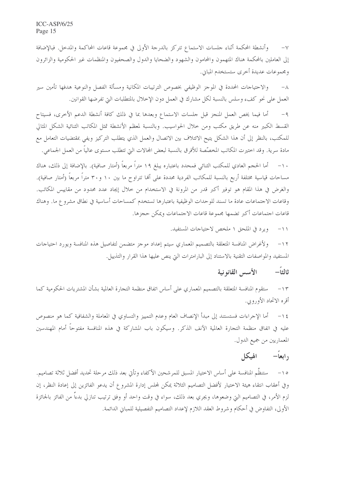وأنشطة المحكمة أثناء حلسات الاستماع تتركز بالدرجة الأولى في مجموعة قاعات المحاكمة والمدخل. فبالإضافة  $-\vee$ إلى العاملين بالمحكمة هناك المتهمون والمحامون والشهود والضحايا والدول والصحفيون والمنظمات غير الحكومية والزائرون ومجموعات عديدة أخرى ستستخدم المباني.

والاحتياجات المحددة في الموجز الوظيفي بخصوص الترتيبات المكانية ومسألة الفصل والنوعية هدفها تأمين سير  $-\lambda$ العمل على نحوٍ كفء وسلس بالنسبة لكل مشارك في العمل دون الإخلال بالمتطلبات التي تفرضها القوانين.

أما فيما يخص العمل المنجز قبل حلسات الاستماع وبعدها بما في ذلك كافة أنشطة الدعم الأخرى، فسيتاح  $-9$ القسط الكبير منه عن طريق مكتب ومن خلال الحواسيب. وبالنسبة لمعظم الأنشطة تمثل المكاتب الثنائية الشكل المثالي للمكتب، بالنظر إلى أن هذا الشكل يتيح الائتلاف بين الاتصال والعمل الذي يتطلب التركيز ويفي بمقتضيات التعامل مع مادة سرية. وقد اختيرت المكاتب المخصّصة للأفرق بالنسبة لبعض المحالات التي تتطلب مستوى عالياً من العمل الجماعي.

١٠– أما الحجم العادي للمكتب الثنائي فمحدد باعتباره يبلغ ١٩ متراً مربعاً (أمتار صافية). بالإضافة إلى ذلك، هناك مساحات قياسية مختلفة أربع بالنسبة للمكاتب الفردية محددة على ألها تتراوح ما بين ١٠ و٣٠ متراً مربعاً (أمتار صافية). والغرض في هذا المقام هو توفير أكبر قدر من المرونة في الاستخدام من خلال إيجاد عدد محدود من مقاييس المكاتب. وقاعات الاجتماعات عادة ما تسند للوحدات الوظيفية باعتبارها تستخدم كمساحات أساسية في نطاق مشروع ما. وهناك قاعات اجتماعات أكبر تضمها محموعة قاعات الاجتماعات ويمكن حجزها.

> ويرد في الملحق ١ ملخص لاحتياجات المستفيد.  $-11$

ولأغراض المنافسة المتعلقة بالتصميم المعماري سيتم إعداد موجز متضمن لتفاصيل هذه المنافسة ويورد احتياجات  $-11$ المستفيد والمواصفات التقنية بالاستناد إلى البارامترات التي ينص عليها هذا القرار والتذييل.

#### الأسس القانونية ثالثاً—

ستقوم المنافسة المتعلقة بالتصميم المعماري على أساس اتفاق منظمة التجارة العالمية بشأن المشتريات الحكومية كما  $-15$ أقره الاتحاد الأوروبي.

أما الإجراءات فستستند إلى مبدأ الإنصاف العام وعدم التمييز والتساوي في المعاملة والشفافية كما هو منصوص  $-15$ عليه في اتفاق منظمة التجارة العالمية الآنف الذكر . وسيكون باب المشاركة في هذه المنافسة مفتوحاً أمام المهندسين المعماريين من جميع الدول.

### رابعاً— الهيكل

٥١– ستنظَّم المنافسة على أساس الاختيار المسبق للمرشحين الأكفاء وتأتي بعد ذلك مرحلة تحديد أفضل ثلاثة تصاميم. وفي أعقاب انتقاء هيئة الاختيار لأفضل التصاميم الثلاثة يمكن لمحلس إدارة المشروع أن يدعو الفائزين إلى إعادة النظر، إن لزم الأمر، في التصاميم التي وضعوها، ويجري بعد ذلك، سواء في وقت واحد أو وفق ترتيب تنازلي بدءاً من الفائز بالجائزة الأولى، التفاوض في أحكام وشروط العقد اللازم لإعداد التصاميم التفصيلية للمباين الدائمة.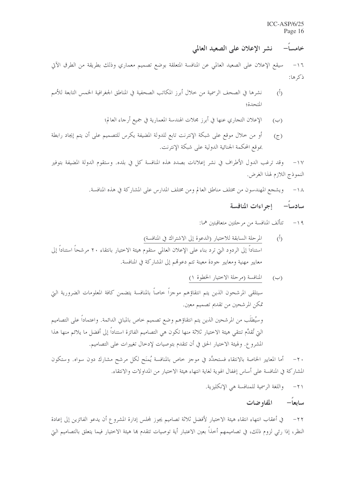نشر الإعلان على الصعيد العالمي خامسا–

سيقع الإعلان على الصعيد العالمي عن المنافسة المتعلقة بوضع تصميم معماري وذلك بطريقة من الطرق الآتي  $-17$ ذكرها:

- نشرها في الصحف الرسمية من خلال أبرز المكاتب الصحفية في المناطق الجغرافية الخمس التابعة للأمم  $(\mathring{I})$ المتحدة؛
	- الإعلان التجاري عنها في أبرز مجلات الهندسة المعمارية في جميع أرجاء العالم؛  $(\hookrightarrow)$
- أو من خلال موقع على شبكة الإنترنت تابع للدولة المضيفة يكرس للتصميم على أن يتم إيجاد رابطة  $(\zeta)$ بموقع المحكمة الجنائية الدولية على شبكة الإنترنت.

وقد ترغب الدول الأطراف في نشر إعلانات بصدد هذه المنافسة كل في بلده. وستقوم الدولة المضيفة بتوفير  $-1V$ النموذج اللازم لهذا الغرض.

١٨- ويشجع المهندسون من مختلف مناطق العالم ومن مختلف المدارس على المشاركة في هذه المنافسة.

# سادسا- إجراءات المنافسة

١٩- \_ \_ تتألف المنافسة من مرحلتين متعاقبتين هما:

- المرحلة السابقة للاختيار (الدعوة إلى الاشتراك في المنافسة)  $(\tilde{0})$ استناداً إلى الردود التي ترد بناء على الإعلان العالمي ستقوم هيئة الاختيار بانتقاء ٢٠ مرشحاً استناداً إلى معايير مهنية ومعايير حودة معينة تتم دعوقمم إلى المشاركة في المنافسة.
- المنافسة (مرحلة الاختيار الخطوة ١)  $(\hookrightarrow)$ سيتلقى المرشحون الذين يتم انتقاؤهم موجزاً حاصاً بالمنافسة يتضمن كافة المعلومات الضرورية التي تمكن المرشحين من تقديم تصميم معين. وسيُطلَب من المرشحين الذين يتم انتقاؤهم وضع تصميم خاص بالمباني الدائمة. واعتماداً على التصاميم التي تُقدَّم تنتقي هيئة الاختيار ثلاثة منها تكون هي التصاميم الفائزة استناداً إلى أفضل ما يلائم منها هذا المشروع. ولهيئة الاختيار الحق في أن تتقدم بتوصيات لإدخال تغييرات على التصاميم.

أما المعايير الخاصة بالانتقاء فستحدَّد في موحز حاص بالمنافسة يُمنَح لكل مرشح مشارك دون سواه. وستكون  $-\tau$ . المشاركة في المنافسة على أساس إغفال الهوية لغاية انتهاء هيئة الاختيار من المداولات والانتقاء.

> واللغة الرسمية للمنافسة هي الإنكليزية.  $-\tau$

### المفاوضات سابعا—

في أعقاب انتهاء انتقاء هيئة الاختيار لأفضل ثلاثة تصاميم يجوز لمجلس إدارة المشروع أن يدعو الفائزين إلى إعادة  $-\tau$ النظر، إذا رئي لزوم ذلك، في تصاميمهم أحذاً بعين الاعتبار أية توصيات تتقدم بما هيئة الاختيار فيما يتعلق بالتصاميم التي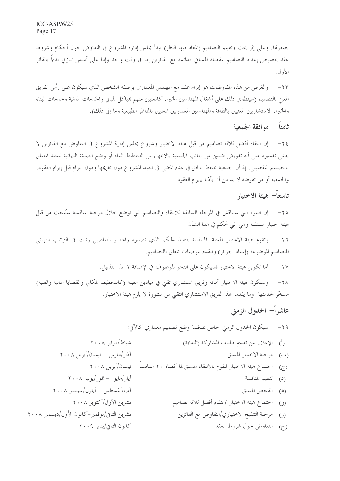$ICC-ASP/6/25$ Page 17

 $\mathbf{r}$ 

يضعوها. وعلى إثر بحث وتقييم التصاميم (المعاد فيها النظر) يبدأ مجلس إدارة المشروع في التفاوض حول أحكام وشروط عقد بخصوص إعداد التصاميم المفصلة للمباني الدائمة مع الفائزين إما في وقت واحد وإما على أساس تنازلي بدءاً بالفائز الأول.

والغرض من هذه المفاوضات هو إبرام عقد مع المهندس المعماري بوصفه الشخص الذي سيكون على رأس الفريق  $-\tau r$ المعنى بالتصميم (سينطوي ذلك على أشغال المهندسين الخبراء كالمعنيين منهم هياكل المباين والخدمات المدنية وحدمات البناء والخبراء الاستشاريين المعنيين بالطاقة والمهندسين المعماريين المعنيين بالمناظر الطبيعية وما إلى ذلك).

# ثامناً— مو افقة الجمعية

إن انتقاء أفضل ثلاثة تصاميم من قبل هيئة الاختيار وشروع مجلس إدارة المشروع في التفاوض مع الفائزين لا  $-\tau$  { ينبغي تفسيره على أنه تفويض ضمني من جانب الجمعية بالانتهاء من التخطيط العام أو وضع الصيغة النهائية للعقد المتعلق بالتصميم التفصيلي. إذ أن الجمعية تحتفظ بالحق في عدم المضي في تنفيذ المشروع دون تغريمها ودون التزام قبل إبرام العقود. والجمعية أو من تفوضه لا بد من أن يأذنا بإبرام العقود.

# تاسعاً– هىئة الاختيار

إن البنود التي ستناقش في المرحلة السابقة للانتقاء والتصاميم التي توضع حلال مرحلة المنافسة ستُبحث من قبل  $-\tau$ هيئة اختيار مستقلة وهي التي تحكم في هذا الشأن.

وتقوم هيئة الاختيار المعنية بالمنافسة بتنفيذ الحكم الذي تصدره واختبار التفاصيل وتبت في الترتيب النهائي  $-\tau$ للتصاميم الموضوعة (إسناد الجوائز) وتتقدم بتوصيات تتعلق بالتصاميم.

> أما تكوين هيئة الاختيار فسيكون على النحو الموصوف في الإضافة ٢ لهذا التذييل.  $-\tau v$

وستكون لهيئة الاختيار أمانة وفريق استشاري تقيى في ميادين معينة (كالتخطيط المكاني والقضايا المالية والفنية)  $-\tau \wedge$ مسخَّر لخدمتها. وما يقدمه هذا الفريق الاستشاري التقيي من مشورة لا يلزم هيئة الاختيار.

# عاشراً– الجدول الزمني

٢٩- مسيكون الجدول الزمني الخاص بمنافسة وضع تصميم معماري كالآتي: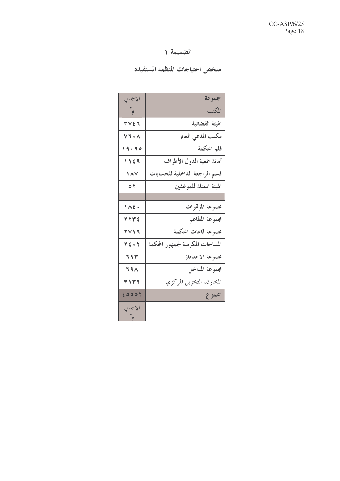# الضميمة ١

# ملخص احتياجات المنظمة المستفيدة

| الإجمالي                     |                                 | المجموعة                  |
|------------------------------|---------------------------------|---------------------------|
| $\mathbf{r}_{\mathbf{a}}$    |                                 | المكتب                    |
| ٣٧٤٦                         |                                 | الهيئة القضائية           |
| $V\mathcal{T} \cdot \Lambda$ |                                 | مكتب المدعى العام         |
| 19.90                        |                                 | قلم المحكمة               |
| 1129                         |                                 | أمانة جمعية الدول الأطراف |
| 187                          | قسم المراجعة الداخلية للحسابات  |                           |
| $\circ$                      |                                 | الهيئة الممثلة للموظفين   |
|                              |                                 |                           |
| $1\land 2$                   |                                 | مجموعة المؤتمرات          |
| 777E                         |                                 | مجموعة المطاعم            |
| 7 V 1 J                      |                                 | مجموعة قاعات المحكمة      |
| TE . T                       | المساحات المكرسة لجمهور المحكمة |                           |
| 79٣                          |                                 | مجموعة الاحتجاز           |
| 79 <sup>1</sup>              |                                 | مجموعة المداخل            |
| 3177                         |                                 | المخازن، التخزين المركزي  |
| 20007                        |                                 | المجموع                   |
| الإجمالي<br>م                |                                 |                           |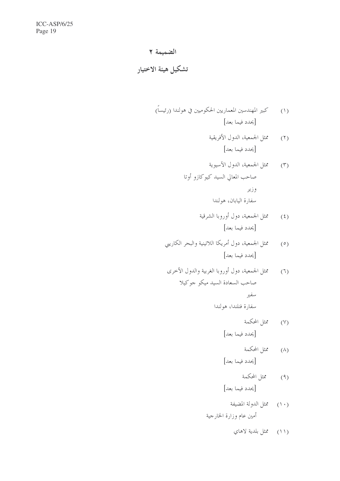# الضميمة ٢

تشكيل هيئة الاختيار

(٣) مثل الجمعية، الدول الآسيوية صاحب المعالي السيد كيوكازو أوتا وزير سفارة اليابان، هولندا

سفارة فنلندا، هولندا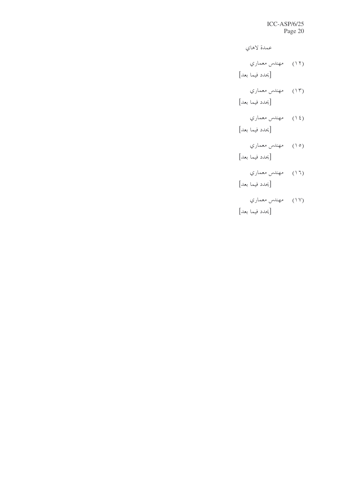عمدة لاهاى

L/4 q -9à4 ô!ò "-/\$ -´—

L/4 q -9à4 ôò "-/\$ -´—

$$
(*)
$$
 مهنلاس معماري

[يحدد فيما بعد]

L/4 q -9à4 ôYò "-/\$ -´—

L/4 q -9à4 ô,ò "-/\$ -´—

L/4 q -9à4 ô"ò

[يحدد فيما بعد]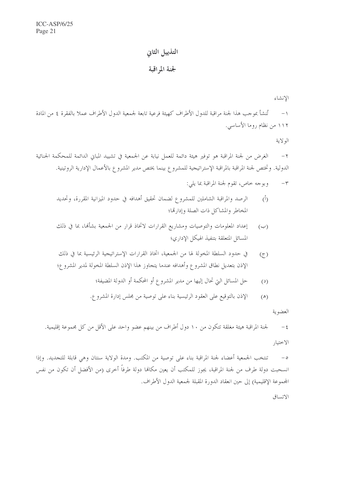# التذييل الثانى

### لجنة المراقبة

الانشاء

تُنشأ بموجب هذا لجنة مراقبة للدول الأطراف كهيئة فرعية تابعة لجمعية الدول الأطراف عملا بالفقرة ٤ من المادة  $-1$ ١١٢ من نظام روما الأساسي.

الو لاية

الغرض من لجنة المراقبة هو توفير هيئة دائمة للعمل نيابة عن الجمعية في تشييد المبايي الدائمة للمحكمة الجنائية  $-\tau$ الدولية. وتختص لجنة المراقبة بالمراقبة الإستراتيجية للمشروع بينما يختص مدير المشروع بالأعمال الإدارية الروتينية.

- وبوجه خاص، تقوم لجنة المراقبة بما يلي:  $-\tau$
- الرصد والمراقبة الشاملين للمشروع لضمان تحقيق أهدافه في حدود الميزانية المقررة، وتحديد  $(\mathring{I})$ المخاطر والمشاكل ذات الصلة وإدارتما؛
- إعداد المعلومات والتوصيات ومشاريع القرارات لاتخاذ قرار من الجمعية بشألها، بما في ذلك  $(\hookrightarrow)$ المسائل المتعلقة بتنفيذ الهيكل الإدارى؛
- في حدود السلطة المخولة لها من الجمعية، اتخاذ القرارات الإستراتيجية الرئيسية بما في ذلك  $(7)$ الإذن بتعديل نطاق المشروع وأهدافه عندما يتجاوز هذا الإذن السلطة المخولة لمدير المشروع؛
	- حل المسائل التي تحال إليها من مدير المشروع أو المحكمة أو الدولة المضيفة؛  $(2)$
	- الإذن بالتوقيع على العقود الرئيسية بناء على توصية من مجلس إدارة المشروع.  $(\triangle)$

العضوية

لجنة المراقبة هيئة مغلقة تتكون من ١٠ دول أطراف من بينهم عضوٍ واحد على الأقل من كل مجموعة إقليمية.  $-\xi$ الاختيار

تنتخب الجمعية أعضاء لجنة المراقبة بناء على توصية من المكتب. ومدة الولاية سنتان وهي قابلة للتجديد. وإذا  $-\circ$ انسحبت دولة طرف من لجنة المراقبة، يجوز للمكتب أن يعين مكانما دولة طرفاً أخرى (من الأفضل أن تكون من نفس المحموعة الإقليمية) إلى حين انعقاد الدورة المقبلة لجمعية الدول الأطراف.

الاتساق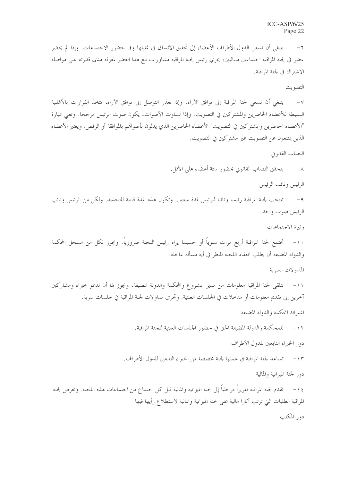ينبغي أن تسعى الدول الأطراف الأعضاء إلى تحقيق الاتساق في تمثيلها وفي حضور الاحتماعات. وإذا لم يحضر  $-\mathbf{1}$ عضو في لجنة المراقبة اجتماعين متتاليين، يجري رئيس لجنة المراقبة مشاورات مع هذا العضو لمعرفة مدى قدرته على مواصلة الاشتراك في لجنة المراقبة.

التصويت

٧– ينبغي أن تسعى لجنة المراقبة إلى توافق الآراء. وإذا تعذر التوصل إلى توافق الآراء، تتخذ القرارات بالأغلبية البسيطة للأعضاء الحاضرين والمشتركين في التصويت. وإذا تساوت الأصوات، يكون صوت الرئيس مرجحا. وتعبي عبارة "الأعضاء الحاضرين والمشتركين في التصويت" الأعضاء الحاضرين الذي يدلون بأصواقمم بالموافقة أو الرفض. ويعتبر الأعضاء الذين يمتنعون عن التصويت غير مشتركين في التصويت.

النصاب القانوين

يتحقق النصاب القانوني بحضور ستة أعضاء على الأقل.  $-\wedge$ 

الرئيس ونائب الرئيس

٩ – تنتخب لجنة المراقبة , ئيسا ونائبا للرئيس لمدة سنتين. وتكون هذه المدة قابلة للتجديد. ولكل من الرئيس ونائب الرئيس صوت واحد.

وتيرة الاجتماعات

١٠– تجتمع لجنة المراقبة أربع مرات سنوياً أو حسبما يراه رئيس اللجنة ضرورياً. ويجوز لكل من مسجل المحكمة والدولة المضيفة أن يطلب انعقاد اللجنة للنظر في أية مسألة عاجلة.

المداولات السرية

١١– تتلقى لجنة المراقبة معلومات من مدير المشروع والمحكمة والدولة المضيفة، ويجوز لها أن تدعو حبراء ومشاركين آخرين إلى تقديم معلومات أو مدخلات في الجلسات العلنية. وتجرى مداولات لجنة المراقبة في جلسات سرية.

اشتراك المحكمة والدولة المضيفة

١٢ – للمحكمة والدولة المضيفة الحق في حضور الجلسات العلنية للجنة المراقبة.

دور الخبراء التابعين للدول الأطراف

١٣ – تساعد لجنة المراقبة في عملها لجنة مخصصة من الخبراء التابعين للدول الأطراف.

دور لجنة الميزانية والمالية

١٤ – تقدم لجنة المراقبة تقريراً مرحلياً إلى لجنة الميزانية والمالية قبل كل احتماع من احتماعات هذه اللحنة. وتعرض لجنة المراقبة الطلبات التي ترتب آثارا مالية على لجنة الميزانية والمالية لاستطلاع رأيها فيها.

دو, المكتب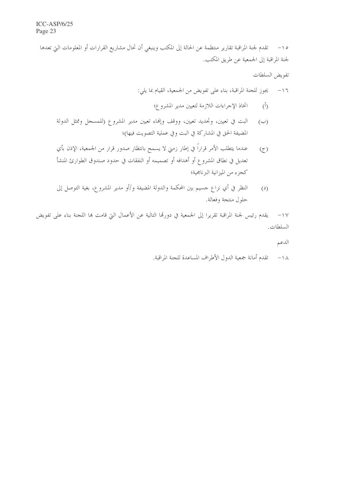٥١– تقدم لجنة المراقبة تقارير منتظمة عن الحالة إلى المكتب وينبغي أن تحال مشاريع القرارات أو المعلومات التي تعدها لجنة المراقبة إلى الجمعية عن طريق المكتب.

تفويض السلطات

- اتخاذ الإجراءات اللازمة لتعيين مدير المشروع؛  $\binom{5}{1}$
- البت في تعيين، وتحديد تعيين، ووقف وإلهاء تعيين مدير المشروع (للمسجل وممثل الدولة  $(\hookrightarrow)$ المضيفة الحق في المشاركة في البت وفي عملية التصويت فيها)؛
- عندما يتطلب الأمر قراراً في إطار زمني لا يسمح بانتظار صدور قرار من الجمعية، الإذن بأي  $(5)$ تعديل في نطاق المشروع أو أهدافه أو تصميمه أو النفقات في حدود صندوق الطوارئ المنشأ كحزء من الميزانية البرنامجية؛
- النظر في أي نزاع جسيم بين المحكمة والدولة المضيفة و/أو مدير المشروع، بغية التوصل إلى  $(2)$ حلول منتجة وفعالة.

١٧– يقدم رئيس لجنة المراقبة تقريرا إلى الجمعية في دورقما التالية عن الأعمال التي قامت بما اللجنة بناء على تفويض السلطات.

الدعم

١٨ – تقدم أمانة جمعية الدول الأطراف المساعدة للجنة المراقبة.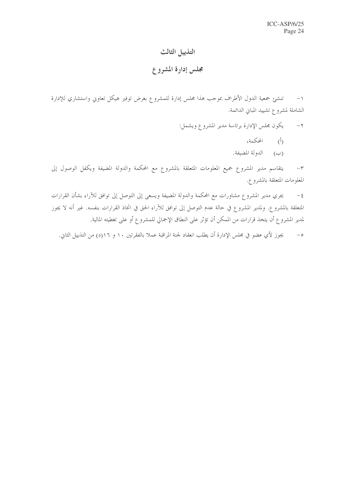## التذييل الثالث

# مجلس إدارة المشروع

تنشئ جمعية الدول الأطراف بموحب هذا مجلس إدارة للمشروع بغرض توفير هيكل تعاوين واستشاري للإدارة  $-1$ الشاملة لمشروع تشييد المباني الدائمة.

> يكون مجلس الإدارة برئاسة مدير المشروع ويشمل:  $-7$

- (أ) المحكمة،
- (ب) الدولة المضيفة.

يتقاسم مدير المشروع جميع المعلومات المتعلقة بالمشروع مع المحكمة والدولة المضيفة ويكفل الوصول إلى  $-1$ المعلومات المتعلقة بالمشروع.

يجري مدير المشروع مشاورات مع المحكمة والدولة المضيفة ويسعى إلى التوصل إلى توافق للآراء بشأن القرارات  $-\xi$ المتعلقة بالمشروع. ولمدير المشروع في حالة عدم التوصل إلى توافق للآراء الحق في اتخاذ القرارات بنفسه. غير أنه لا يجوز لمدير المشروع أن يتخذ قرارات من الممكن أن تؤثر على النطاق الإجمالي للمشروع أو على تغطيته المالية.

يجوز لأي عضو في مجلس الإدارة أن يطلب انعقاد لجنة المراقبة عملا بالفقرتين ١٠ و ١١٦(د) من التذييل الثاني.  $-\circ$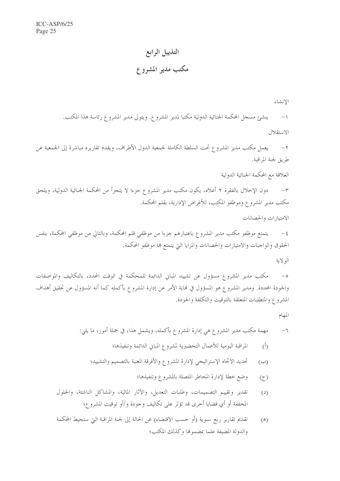# التذييل الرابع

# مكتب مدير المشروع

الإنشاء

١– ينشئ مسجل المحكمة الجنائية الدولية مكتبا لمدير المشروع. ويتولى مدير المشروع رئاسة هذا المكتب. الاستقلال

يعمل مكتب مدير المشروع تحت السلطة الكاملة لجمعية الدول الأطراف، ويقدم تقاريره مباشرة إلى الجمعية عن  $-\tau$ طريق لجنة المراقبة.

العلاقة مع المحكمة الجنائية الدولية

دون الإخلال بالفقرة ٢ أعلاه، يكون مكتب مدير المشروع جزءا لا يتجزأ من المحكمة الجنائية الدولية، ويلحق  $-\tau$ مكتب مدير المشروع وموظفو المكتب، للأغراض الإدارية، بقلم المحكمة.

الامتيازات والحصانات

يتمتع موظفو مكتب مدير المشروع باعتبارهم جزءا من موظفي قلم المحكمة، وبالتالي من موظفي المحكمة، بنفس  $-\xi$ الحقوق والواجبات والامتيازات والحصانات والمزايا التي يتمتع بما موظفو المحكمة.

الو لاية

مكتب مدير المشروع مسؤول عن تشييد المباين الدائمة للمحكمة في الوقت المحدد، بالتكاليف والمواصفات  $-\circ$ والجودة المحددة. ومدير المشروع هو المسؤول في نماية الأمر عن إدارة المشروع بأكمله كما أنه المسؤول عن تحقيق أهداف المشروع والمتطلبات المتعلقة بالتوقيت والتكلفة والجودة.

المهام

- المراقبة اليومية للأعمال التحضيرية لمشروع المبايي الدائمة وتنفيذها؛  $(\mathfrak{h})$
- تحديد الاتحاه الإستراتيجي لإدارة المشروع والأفرقة المعنية بالتصميم والتشييد؛  $(\hookrightarrow)$ 
	- وضع خطة لإدارة المخاطر المتصلة بالمشروع وتنفيذها؛  $(5)$
- تقدير وتقييم التصميمات، وطلبات التعديل، والآثار المالية، والمشاكل الناشئة، والحلول  $(2)$ المخففة أو أي قضايا أخرى قد تؤثر على تكاليف وجودة و/أو توقيت المشروع؛
- تقديم تقارير ربع سنوية (أو حسب الاقتضاء) عن الحالة إلى لجنة المراقبة التي ستحيط المحكمة  $(\triangle)$ والدولة المضيفة علما بمضمولها وكذلك المكتب؛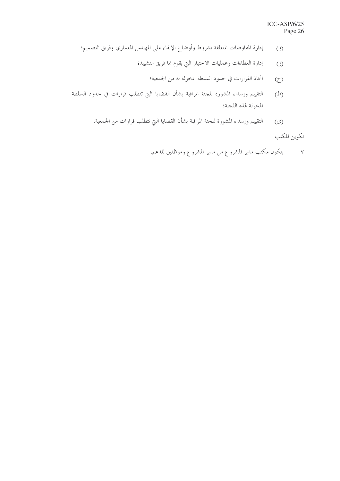- إدارة المفاوضات المتعلقة بشروط وأوضاع الإبقاء على المهندس المعماري وفريق التصميم؛  $(2)$ 
	- إدارة العطاءات وعمليات الاختيار التي يقوم بما فريق التشييد؛  $\overline{(\cdot)}$ 
		- اتخاذ القرارات في حدود السلطة المخولة له من الجمعية؛  $\tilde{\zeta}$
- التقييم وإسداء المشورة للحنة المراقبة بشأن القضايا التي تتطلب قرارات في حدود السلطة  $(d)$ المخولة لهذه اللجنة؛
	- التقييم وإسداء المشورة للحنة المراقبة بشأن القضايا التي تتطلب قرارات من الجمعية.  $(\mathcal{S})$

تكوين المكتب

٧− يتكون مكتب مدير المشروع من مدير المشروع وموظفين للدعم.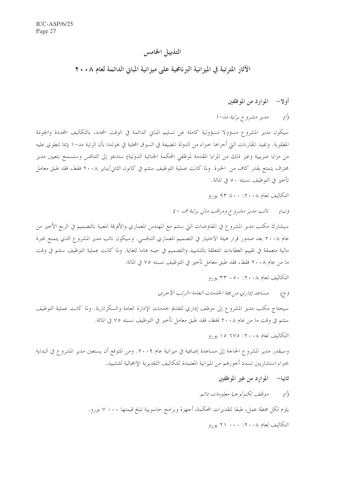# التذييل الخامس

# الآثار المترتبة في الميزانية البرنامجية على ميزانية المباني الدائمة لعام ٢٠٠٨

### أولا— الموارد من الموظفين

#### ملير مشروع برتبة مل- ا  $\sqrt{2}$

سيكون مدير المشروع مسؤولا مسؤولية كاملة عن تسليم المبايي الدائمة في الوقت المحدد، بالتكاليف المحددة والجودة المطلوبة. وتفيد المقارنات التي أجراها خبراء من الدولة المضيفة في السوق المحلية في هولندا بأن الرتبة مد–١ (بما تنطوي عليه من مزايا ضريبية وغير ذلك من المزايا المقدمة لموظفي المحكمة الجنائية الدولية) ستدعو إلى التنافس وستسمح بتعيين مدير محترف يتمتع بقدر كاف من الخبرة. ولما كانت عملية التوظيف ستتم في كانون الثاني/يناير ٢٠٠٨ فقط، فقد طبق معامل تأخير في التوظيف نسبته ٥٠ في المائة.

التكاليف لعام ٢٠٠٨: ٨٠٠ ٩٣ يورو

### (ب) نائب مدير مشروع ومراقب مالي برتبة ف -٤

سيشارك مكتب مدير المشروع في المفاوضات التي ستتم مع المهندس المعماري والأفرقة المعنية بالتصميم في الربع الأخير من عام ٢٠٠٨ بعد صدور قرار هيئة الاختيار في التصميم المعماري التنافسي. وسيكون نائب مدير المشروع الذي يتمتع بخبرة مالية متعمقة في تقييم العطاءات المتعلقة بالتشييد والتصميم في حينه هاما للغاية. ولما كانت عملية التوظيف ستتم في وقت ما من عام ٢٠٠٨ فقط، فقد طبق معامل تأخير في التوظيف نسبته ٧٥ في المائة.

التكاليف لعام ٢٠٠٨: ٥٠٠ ٣٣ يورو

(ج) مساعد إداري من فئة الخدمات العامة-الرتب الأحرى

سيحتاج مكتب مدير المشروع إلى موظف إداري لتقديم حدمات الإدارة العامة والسكرتارية. ولما كانت عملية التوظيف ستتم في وقت ما من عام ٢٠٠٨ فقط، فقد طبق معامل تأخير في التوظيف نسبته ٧٥ في المائة.

التكاليف لعام ٢٠٠٨: ٦٧٥ ١٥ يورو

وسيقدر مدير المشروع الحاجة إلى مساعدة إضافية في ميزانية عام ٢٠٠٩. ومن المتوقع أن يستعين مدير المشروع في البداية بخبراء استشاريين تسدد أحورهم من الميزانية المعتمدة للتكاليف التقديرية الإجمالية للتشييد.

ثانيا— الموارد من غير الموظفين

### موظف تكنولوجيا معلومات دائيم  $\bigcirc$

يلزم لكل محطة عمل، طبقا لتقديرات المحكمة، أجهزة وبرامج حاسوبية تبلغ قيمتها ٧٠٠٠ بورو .

التكاليف لعام ٢٠٠٨: ٢٠٠ ٢١ يو, و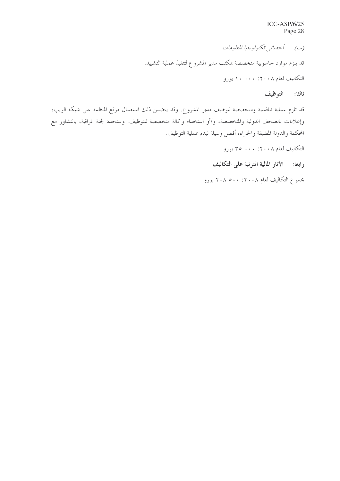$ICC-ASP/6/25$ Page 28

(ب) أحصائبي تكنولوجيا المعلومات قد يلزم موارد حاسوبية متخصصة بمكتب مدير المشروع لتنفيذ عملية التشييد. التكاليف لعام ٢٠٠٨: ١٠٠٠ يورو

ثالثا: التوظيف

قد تلزم عملية تنافسية ومتخصصة لتوظيف مدير المشروع. وقد يتضمن ذلك استعمال موقع المنظمة على شبكة الويب، وإعلانات بالصحف الدولية والمتخصصة، و/أو استخدام وكالة متخصصة للتوظيف. وستحدد لجنة المراقبة، بالتشاور مع المحكمة والدولة المضيفة والخبراء، أفضل وسيلة لبدء عملية التوظيف.

التكاليف لعام ٢٠٠٨: ٢٠٠ ٣٥ يورو

رابعا: ﴿ الْأَثَارِ الْمَالِيَةِ الْمُتَرَّتِبَةِ عَلَى الْتَكَالِيْفِ

مجموع التكاليف لعام ٢٠٠٨ : ٢٠٨ ٠٠ يورو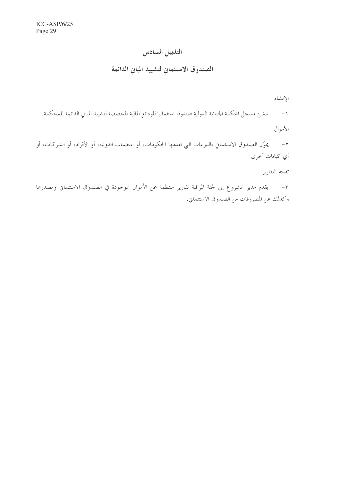# التذييل السادس

# الصندوق الاستئماني لتشييد المباني الدائمة

الإنشاء

١- ينشئ مسحل المحكمة الجنائية الدولية صندوقا استئمانيا للودائع المالية المخصصة لتشييد المباني الدائمة للمحكمة. الأموال

٢– يموّل الصندوق الاستئماني بالتبرعات التي تقدمها الحكومات، أو المنظمات الدولية، أو الأفراد، أو الشركات، أو أي كيانات أخرى.

تقديم التقارير

٣– يقدم مدير المشروع إلى لجنة المراقبة تقارير منتظمة عن الأموال الموحودة في الصندوق الاستئماني ومصدرها وكذلك عن المصروفات من الصندوق الاستئماني.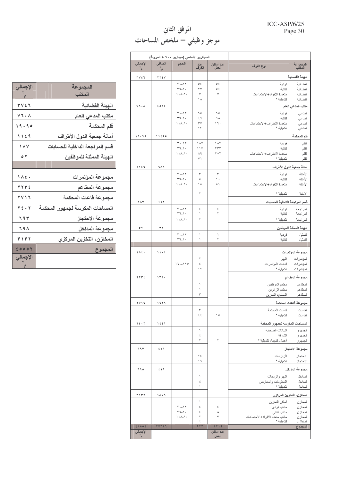### ICC-ASP/6/25 Page 30

# المرفق الثاني<br>موجز وظيفي – ملخص المساحات

|                                   | السيناريو الأساسي (سيناريو ٩٠٠ + المرونة) |                                           |                                  |                            |                                             |                         |
|-----------------------------------|-------------------------------------------|-------------------------------------------|----------------------------------|----------------------------|---------------------------------------------|-------------------------|
| الإجمالي<br>$\tilde{\mathcal{F}}$ | الصافى<br>$\tilde{\mathbf{r}}$            | الحجم                                     | عدد<br>الغرف                     | عدد أماكن<br>العمل         | نوع الغرف                                   | المجموعة<br>المكتب      |
| T V f T                           | TTEV                                      |                                           |                                  |                            |                                             | الهينة القضانية         |
|                                   |                                           | $\mathbf{r} \cdot \mathbf{-1} \mathbf{r}$ | $\circ$ ź                        | ع ہ                        | فردية                                       | القضائبة                |
|                                   |                                           | $TT-1$<br>$11A-1$                         | $\mathsf{Y}\mathsf{V}$<br>$\vee$ | $\circ$ ź<br>$\vee$        | ثنائية<br>متعددة الأفر اد+الاجتماعات        | القضائية<br>القضائية    |
|                                   |                                           |                                           | $\lambda$                        |                            | تكميلية *                                   | القضائية                |
| $V$ ٦٠٨                           | 2072                                      |                                           |                                  |                            |                                             | مكتب المدعى العام       |
|                                   |                                           | $\mathbf{r} \cdot \mathbf{-1} \mathbf{r}$ | ٦0                               | ٦0                         | فردية                                       | المدعى                  |
|                                   |                                           | $TT-1$                                    | $\xi$ ٩                          | ۹۸                         | ثنائية                                      | المدعي                  |
|                                   |                                           | $11A-1$                                   | $\mathsf{r}\mathsf{v}$<br>$\tau$ | ۱٦.                        | متعددة الأطراف+الاجتماعات<br>تكميلية *      | المدعى<br>المدعى        |
|                                   |                                           |                                           |                                  |                            |                                             |                         |
| 19.90                             | 11200                                     | $T - 17$                                  | $\lambda$                        | $\lambda$                  | فردية                                       | قلم المحكمة<br>القلم    |
|                                   |                                           | $TT-1$                                    | $\bigwedge$                      | YTT                        | ثنائبة                                      | القلم                   |
|                                   |                                           | $11A-1$                                   | $\wedge$ 9                       | ۲٥٢                        | متعددة الأطر اف+الاجتماعات                  | القلم                   |
|                                   |                                           |                                           | $\vee$                           |                            | تكميلية *                                   | القلم                   |
| 1119                              | <b>719</b>                                |                                           |                                  |                            | أمانة جمعية الدول الأطراف                   |                         |
|                                   |                                           | $\mathbf{r} \cdot \mathbf{r}$             | ٣                                | $\tau$                     | فردية                                       | الأمانة                 |
|                                   |                                           | $TT-1$<br>$11A-1$                         | $\circ$<br>$\Delta$              | $\mathcal{N}$<br>$\circ$ ) | ثنائية<br>متعددة الأفر اد+الاجتماعات        | الأمانة<br>الأمانة      |
|                                   |                                           |                                           |                                  |                            |                                             |                         |
|                                   |                                           |                                           | ٢                                |                            | تكميلية *                                   | الأمانة                 |
| <b>1 A V</b>                      | 117                                       |                                           |                                  |                            | قسم المراجعة الداخلية للحسابات              |                         |
|                                   |                                           | $T - Y$<br>$TT-1$                         | ٤<br>١                           | ٤<br>۲                     | فردية<br>ثنائية                             | المر اجعة<br>المراجعة   |
|                                   |                                           | $11A-1$                                   | ۲                                |                            | تكميلية *                                   | المراجعة                |
| $\circ$ $\check{\ }$              | ۳۱                                        |                                           |                                  |                            |                                             | الهينة الممثلة للموظفين |
|                                   |                                           | $T - 17$                                  | $\backslash$                     | $\,$                       | فردية                                       | التمثيل                 |
|                                   |                                           | $TT-1$                                    | ١                                | ٢                          | ثنائبة                                      | التمثيل                 |
| 1 $\land$ £.                      | 11.5                                      |                                           |                                  |                            |                                             | مجموعة المؤتمرات        |
|                                   |                                           |                                           | ۲                                |                            | البهو                                       | المؤتمرات               |
|                                   |                                           | $17 - 170$                                | ٤                                |                            | قاعات المؤتمرات                             | المؤتمرات               |
|                                   |                                           |                                           | $\gamma$                         |                            | تكميلية *                                   | المؤتمرات               |
| 7772                              | 115.                                      |                                           |                                  |                            |                                             |                         |
|                                   |                                           |                                           |                                  |                            |                                             | مجموعة المطاعم          |
|                                   |                                           |                                           | ١                                |                            | مطعم الموظفين                               | المطاعم                 |
|                                   |                                           |                                           | ١                                |                            | مطعم الزائرين                               | المطاعم                 |
|                                   |                                           |                                           | ٣                                |                            | المطبخ، التخزين                             | المطاعم                 |
| $7$ $V$ $\uparrow$ $\uparrow$     | 1779                                      |                                           |                                  |                            |                                             | مجموعة قاعات المحكمة    |
|                                   |                                           |                                           | ٣<br>$\xi$ $\xi$                 | $\Delta$                   | قاعات المحكمة<br>تكميلية *                  | القاعات<br>القاعات      |
|                                   |                                           |                                           |                                  |                            |                                             |                         |
| $Y f \cdot Y$                     | 1551                                      |                                           | ١                                |                            | المساحات المكرسة لجمهور المحكمة             |                         |
|                                   |                                           |                                           | ٤                                |                            | البيانات الصحفية<br>الشرفة                  | الجمهور<br>الجمهور      |
|                                   |                                           |                                           | ۲                                | ٢                          | أعمال كتابية، تكميلية *                     | الجمهور                 |
| ٦٩٣                               | えりち                                       |                                           |                                  |                            |                                             | مجموعة الاحتجاز         |
|                                   |                                           |                                           | ٢٤                               |                            | الزنز انات                                  | الاحتجاز                |
|                                   |                                           |                                           | ۱٦                               |                            | تكميلية *                                   | الاحتجاز                |
| ٦٩٨                               | 519                                       |                                           |                                  |                            |                                             | مجموعة المداخل          |
|                                   |                                           |                                           | ١<br>٤                           |                            | البهو والردهات                              | المداخل                 |
|                                   |                                           |                                           | ١                                |                            | المعلومات والمعارض<br>تكميلية *             | المداخل<br>المداخل      |
| ۳۱۳۲                              | 1879                                      |                                           |                                  |                            | المخازن، التخزين المركزي                    |                         |
|                                   |                                           |                                           | ١                                |                            | أماكن التخزين                               | المخازن                 |
|                                   |                                           | $T - 17$                                  | ٤                                | ٤                          | مكتب فردي                                   | المخازن                 |
|                                   |                                           | $TT-1$<br>$\{\lambda_-\}$ .               | ٤<br>٢                           | ٨<br>$\vee$                | مكتب ثنائي                                  | المخازن                 |
|                                   |                                           |                                           | ٤                                |                            | مكتب متعدد الأفر اد+الاجتماعات<br>تكميلية * | المخازن<br>المخازن      |
| 20007<br>الإجمالي                 | <b>TVTTT</b>                              |                                           | 9.77                             | 1719<br>عدد أماكن          |                                             | المجموع                 |

| الإجمالى                                      | المجموعة                        |
|-----------------------------------------------|---------------------------------|
|                                               | المكتب                          |
| ٣٧٤٦                                          | الهيئة القضائية                 |
| $V$ ٦٠٨                                       | مكتب المدعي العام               |
| 19.90                                         | قلم المحكمة                     |
| 1129                                          | أمانة جمعية الدول الأطراف       |
| 187                                           | قسم المراجعة الداخلية للحسابات  |
| $\circ$ $\check{\ }$                          | الهيئة الممثلة للموظفين         |
|                                               |                                 |
| $\wedge \wedge 2$ .                           | مجموعة المؤتمرات                |
| Y Y Y E                                       | مجموعة المطاعم                  |
| $\mathbf{Y} \mathbf{Y} \mathbf{1} \mathbf{Z}$ | مجموعة قاعات المحكمة            |
| $Y \leq 1$                                    | المساحات المكرسة لجمهور المحكمة |
| 797                                           | مجموعة الاحتجاز                 |
| 79 <sup>A</sup>                               | مجموعة المداخل                  |
| <b>٣١٣٢</b>                                   | المخازن، التخزين المركزي        |
| 20007                                         | المجموع                         |
| الإجمالي                                      |                                 |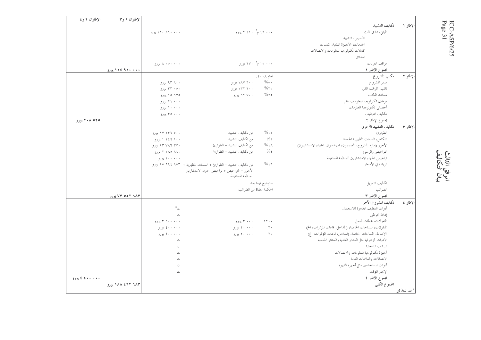|               |                                                                  |                |                                                                     |                  | الإطاران ۱ و۳    | الإطاران ۲ و £ |
|---------------|------------------------------------------------------------------|----------------|---------------------------------------------------------------------|------------------|------------------|----------------|
| الإطار ١      | تكاليف التشييد                                                   |                |                                                                     |                  |                  |                |
|               | المبايي، بما في ذلك                                              |                | ۲۰۰۰ م ۲ ۶۱۰ یورو                                                   | ۰۰۰ ۸٦۰ ۱۱۰ يورو |                  |                |
|               | التأسيس، التشييد                                                 |                |                                                                     |                  |                  |                |
|               | الخدمات، الأحهزة التقنية، المنشآت                                |                |                                                                     |                  |                  |                |
|               | كابلات تكنولوجيا المعلومات والاتصالات                            |                |                                                                     |                  |                  |                |
|               | الحدائق                                                          |                |                                                                     |                  |                  |                |
|               | مواقف العربات                                                    |                | ۰۰۰ ۱۵ م ۲۷۰ یورو                                                   | ۰۰۰۰۰۰ کا يورو   |                  |                |
|               | مجموع الإطار ١                                                   |                |                                                                     |                  | ۱۹۶۰ که ۱۹۶ پورو |                |
| لإطار ٢       | مكتب المشروع                                                     | لعام ۲۰۰۸:     |                                                                     |                  |                  |                |
|               | مدير المشروع                                                     | $\%$ $\circ$ . | ۱۸۷ تورو                                                            | ۹۳ ۸۰۰ بورو      |                  |                |
|               | نائب، المراقب المالي                                             | $%$ ٢٥         | ۲۰۰ ۱۳۲ یورو                                                        | ۳۳ ۰۵۰ یورو      |                  |                |
|               | مساعد المكتب                                                     | $%$ ٢٥         | ۲۲ ۷۰۰ يورو                                                         | ۲۷۵ ۱۵ یورو      |                  |                |
|               | موظف تكنولوجيا المعلومات دائم                                    |                |                                                                     | ۲۱ ۰۰۰ یورو      |                  |                |
|               | أخصائي تكنولوجيا المعلومات                                       |                |                                                                     | ۱۰۰۰۰ یورو       |                  |                |
|               | تكاليف التوظيف                                                   |                |                                                                     | ۳۵ ۰۰۰ يورو      |                  |                |
|               | مجموع الإطار ٢                                                   |                |                                                                     |                  |                  | ۲۰۸ ۵۲۵ پورو   |
| لإطار ٣       | تكاليف التشييد الأخرى                                            |                |                                                                     |                  |                  |                |
|               | الطوارئ                                                          | $\%$ \ 0       | من تكاليف التشييد                                                   | ۱۷ ۲۳۶ بورو      |                  |                |
|               | التكامل، السمات المظهرية الخاصة                                  | $\frac{0}{0}$  | من تكاليف التشييد                                                   | ۱۰۰ ۱٤۹ ۱ يورو   |                  |                |
|               | الأحور (إدارة المشروع، المصممون، المهندسون، الخبراء الاستشاريون) | $\%$           | من تكاليف التشييد + الطوارئ                                         | ۲۳ ۷۸۶ ۳۷۰ یورو  |                  |                |
|               | التراخيص والرسوم                                                 | $\%$           | من تكاليف التشييد + الطوارئ                                         | ۲ ۲۸۰ ۲ پورو     |                  |                |
|               | تراخيص الخبراء الاستشاريين للمنظمة المستفيدة                     |                |                                                                     | ۱۰۰ ۰۰۰ یورو     |                  |                |
|               | الزيادة في الأسعار                                               | $\frac{9}{61}$ | من تكاليف التشييد + الطوارئ + السمات المظهرية + ٢٥٩٤ ٩٩٤ تورو       |                  |                  |                |
|               |                                                                  |                | الأحور + التراخيص + تراخيص الخبراء الاستشاريين<br>للمنظمة المستفيدة |                  |                  |                |
|               | تكاليف التمويل                                                   | ستوضح فيما بعد |                                                                     |                  |                  |                |
|               | الضرائب                                                          |                | المحكمة معفاة من الضرائب                                            |                  |                  |                |
|               | مجموع الإطار ٣                                                   |                |                                                                     |                  | ۷۳ ۵۵۲ ۹۸۳ یورو  |                |
| لإطار ٤       | تكاليف المشروع الآخر                                             |                |                                                                     |                  |                  |                |
|               | أدوات التنظيف الجاهزة للاستعمال                                  |                |                                                                     | ت*               |                  |                |
|               | إعادة التوطين                                                    |                |                                                                     | ت                |                  |                |
|               | المنقولات، محطات العمل                                           | 15.1           | ۳۰۰۰ بورو                                                           | ۲۰۰۰۰۰۰ يورو     |                  |                |
|               | المنقولات، المساحات الخاصة، (المداحل، قاعات المؤتمرات، الخ)      | $\mathbf{r}$ . | ۲۰۰۰۰ یورو                                                          | ٤٠٠ ٠٠٠ يورو     |                  |                |
|               | االإضاءة، المساحات الخاصة، (المداخل، قاعات المؤتمرات، الخ)       | $\mathbf{y}$ . | ۲۰ ۰۰۰ يورو                                                         | ۰۰۰ ۶۰۰ يورو     |                  |                |
|               | الأدوات الزخرفية مثل الستائر العادية والستائر الحاجبة            |                |                                                                     | ت                |                  |                |
|               | النباتات الداخلية                                                |                |                                                                     | ت                |                  |                |
|               | أجهزة تكنولوجيا المعلومات والاتصالات                             |                |                                                                     | ت                |                  |                |
|               | الاتصالات والعلامات العامة                                       |                |                                                                     | ت                |                  |                |
|               | أدوات المستخدمين مثل أحهزة القهوة                                |                |                                                                     | ت                |                  |                |
|               | الإيجار المؤقت                                                   |                |                                                                     | ت                |                  |                |
|               | مجموع الإطار ٤                                                   |                |                                                                     |                  |                  | ۰۰۰۰ کا یورو   |
|               | المجموع الكلى                                                    |                |                                                                     |                  | ۱۸۸ ٤٦٢ ١٨٨ يورو |                |
| ٔ بند للتذکیر |                                                                  |                |                                                                     |                  |                  |                |

 $\begin{array}{lcl} \text{ICC-ASP/6/25} \\ \text{Page 31} \end{array}$ 

المرفق الثالث<br>بيان التكاليف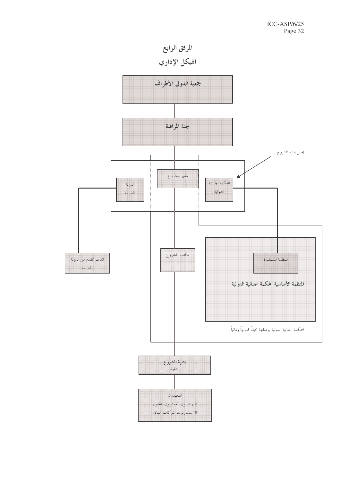المرفق الرابع الهيكل الإداري